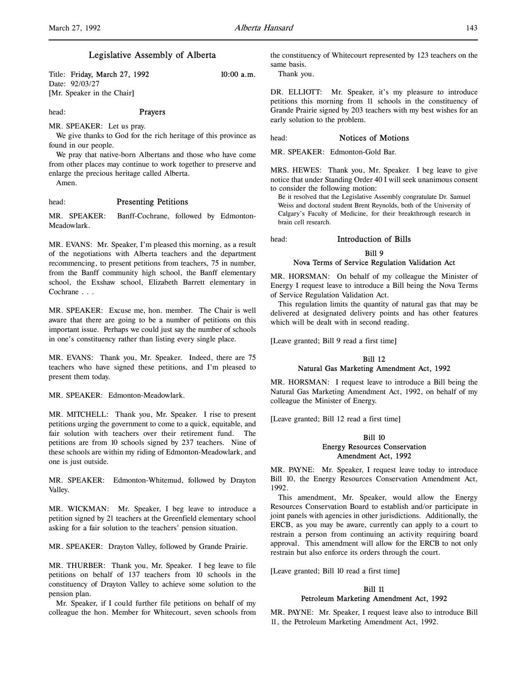Title: Friday, March 27, 1992 10:00 a.m. Date: 92/03/27 [Mr. Speaker in the Chair]

head: Prayers

We give thanks to God for the rich heritage of this province as found in our people.

We pray that native-born Albertans and those who have come from other places may continue to work together to preserve and enlarge the precious heritage called Alberta.

Amen.

### head: Presenting Petitions

MR. SPEAKER: Let us pray.

MR. SPEAKER: Banff-Cochrane, followed by Edmonton-Meadowlark.

MR. EVANS: Mr. Speaker, I'm pleased this morning, as a result of the negotiations with Alberta teachers and the department recommencing, to present petitions from teachers, 75 in number, from the Banff community high school, the Banff elementary school, the Exshaw school, Elizabeth Barrett elementary in Cochrane . . .

MR. SPEAKER: Excuse me, hon. member. The Chair is well aware that there are going to be a number of petitions on this important issue. Perhaps we could just say the number of schools in one's constituency rather than listing every single place.

MR. EVANS: Thank you, Mr. Speaker. Indeed, there are 75 teachers who have signed these petitions, and I'm pleased to present them today.

MR. SPEAKER: Edmonton-Meadowlark.

MR. MITCHELL: Thank you, Mr. Speaker. I rise to present petitions urging the government to come to a quick, equitable, and fair solution with teachers over their retirement fund. The petitions are from 10 schools signed by 237 teachers. Nine of these schools are within my riding of Edmonton-Meadowlark, and one is just outside.

MR. SPEAKER: Edmonton-Whitemud, followed by Drayton Valley.

MR. WICKMAN: Mr. Speaker, I beg leave to introduce a petition signed by 21 teachers at the Greenfield elementary school asking for a fair solution to the teachers' pension situation.

MR. SPEAKER: Drayton Valley, followed by Grande Prairie.

MR. THURBER: Thank you, Mr. Speaker. I beg leave to file petitions on behalf of 137 teachers from 10 schools in the constituency of Drayton Valley to achieve some solution to the pension plan.

Mr. Speaker, if I could further file petitions on behalf of my colleague the hon. Member for Whitecourt, seven schools from the constituency of Whitecourt represented by 123 teachers on the same basis.

Thank you.

DR. ELLIOTT: Mr. Speaker, it's my pleasure to introduce petitions this morning from 11 schools in the constituency of Grande Prairie signed by 203 teachers with my best wishes for an early solution to the problem.

### head: Notices of Motions

MR. SPEAKER: Edmonton-Gold Bar.

MRS. HEWES: Thank you, Mr. Speaker. I beg leave to give notice that under Standing Order 40 I will seek unanimous consent to consider the following motion:

Be it resolved that the Legislative Assembly congratulate Dr. Samuel Weiss and doctoral student Brent Reynolds, both of the University of Calgary's Faculty of Medicine, for their breakthrough research in brain cell research.

head: Introduction of Bills

### Bill 9

### Nova Terms of Service Regulation Validation Act

MR. HORSMAN: On behalf of my colleague the Minister of Energy I request leave to introduce a Bill being the Nova Terms of Service Regulation Validation Act.

This regulation limits the quantity of natural gas that may be delivered at designated delivery points and has other features which will be dealt with in second reading.

[Leave granted; Bill 9 read a first time]

# Bill 12 Natural Gas Marketing Amendment Act, 1992

MR. HORSMAN: I request leave to introduce a Bill being the Natural Gas Marketing Amendment Act, 1992, on behalf of my colleague the Minister of Energy.

[Leave granted; Bill 12 read a first time]

## Bill 10 Energy Resources Conservation Amendment Act, 1992

MR. PAYNE: Mr. Speaker, I request leave today to introduce Bill 10, the Energy Resources Conservation Amendment Act, 1992.

This amendment, Mr. Speaker, would allow the Energy Resources Conservation Board to establish and/or participate in joint panels with agencies in other jurisdictions. Additionally, the ERCB, as you may be aware, currently can apply to a court to restrain a person from continuing an activity requiring board approval. This amendment will allow for the ERCB to not only restrain but also enforce its orders through the court.

[Leave granted; Bill 10 read a first time]

### Bill 11

### Petroleum Marketing Amendment Act, 1992

MR. PAYNE: Mr. Speaker, I request leave also to introduce Bill 11, the Petroleum Marketing Amendment Act, 1992.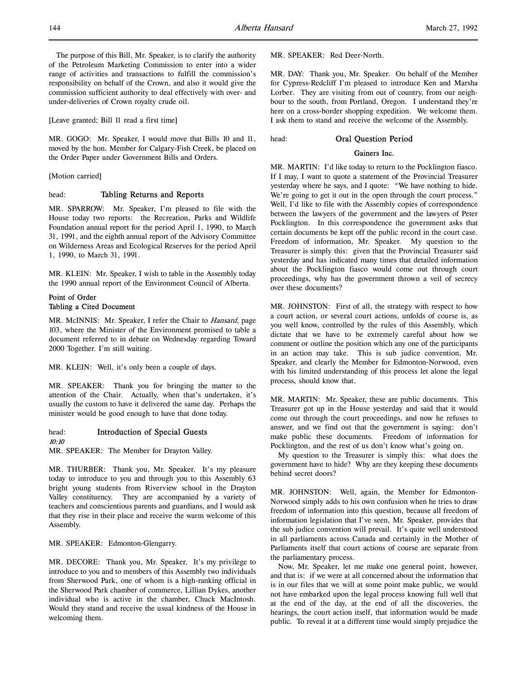The purpose of this Bill, Mr. Speaker, is to clarify the authority of the Petroleum Marketing Commission to enter into a wider range of activities and transactions to fulfill the commission's responsibility on behalf of the Crown, and also it would give the commission sufficient authority to deal effectively with over- and under-deliveries of Crown royalty crude oil.

[Leave granted; Bill 11 read a first time]

MR. GOGO: Mr. Speaker, I would move that Bills 10 and 11, moved by the hon. Member for Calgary-Fish Creek, be placed on the Order Paper under Government Bills and Orders.

[Motion carried]

### head: Tabling Returns and Reports

MR. SPARROW: Mr. Speaker, I'm pleased to file with the House today two reports: the Recreation, Parks and Wildlife Foundation annual report for the period April 1, 1990, to March 31, 1991, and the eighth annual report of the Advisory Committee on Wilderness Areas and Ecological Reserves for the period April 1, 1990, to March 31, 1991.

MR. KLEIN: Mr. Speaker, I wish to table in the Assembly today the 1990 annual report of the Environment Council of Alberta.

## Point of Order Tabling a Cited Document

MR. McINNIS: Mr. Speaker, I refer the Chair to Hansard, page 103, where the Minister of the Environment promised to table a document referred to in debate on Wednesday regarding Toward 2000 Together. I'm still waiting.

MR. KLEIN: Well, it's only been a couple of days.

MR. SPEAKER: Thank you for bringing the matter to the attention of the Chair. Actually, when that's undertaken, it's usually the custom to have it delivered the same day. Perhaps the minister would be good enough to have that done today.

head: Introduction of Special Guests

## 10:10

MR. SPEAKER: The Member for Drayton Valley.

MR. THURBER: Thank you, Mr. Speaker. It's my pleasure today to introduce to you and through you to this Assembly 63 bright young students from Riverview school in the Drayton Valley constituency. They are accompanied by a variety of teachers and conscientious parents and guardians, and I would ask that they rise in their place and receive the warm welcome of this Assembly.

MR. SPEAKER: Edmonton-Glengarry.

MR. DECORE: Thank you, Mr. Speaker. It's my privilege to introduce to you and to members of this Assembly two individuals from Sherwood Park, one of whom is a high-ranking official in the Sherwood Park chamber of commerce, Lillian Dykes, another individual who is active in the chamber, Chuck MacIntosh. Would they stand and receive the usual kindness of the House in welcoming them.

MR. SPEAKER: Red Deer-North.

MR. DAY: Thank you, Mr. Speaker. On behalf of the Member for Cypress-Redcliff I'm pleased to introduce Ken and Marsha Lorber. They are visiting from out of country, from our neighbour to the south, from Portland, Oregon. I understand they're here on a cross-border shopping expedition. We welcome them. I ask them to stand and receive the welcome of the Assembly.

head: Oral Question Period

#### Gainers Inc.

MR. MARTIN: I'd like today to return to the Pocklington fiasco. If I may, I want to quote a statement of the Provincial Treasurer yesterday where he says, and I quote: "We have nothing to hide. We're going to get it out in the open through the court process." Well, I'd like to file with the Assembly copies of correspondence between the lawyers of the government and the lawyers of Peter Pocklington. In this correspondence the government asks that certain documents be kept off the public record in the court case. Freedom of information, Mr. Speaker. My question to the Treasurer is simply this: given that the Provincial Treasurer said yesterday and has indicated many times that detailed information about the Pocklington fiasco would come out through court proceedings, why has the government thrown a veil of secrecy over these documents?

MR. JOHNSTON: First of all, the strategy with respect to how a court action, or several court actions, unfolds of course is, as you well know, controlled by the rules of this Assembly, which dictate that we have to be extremely careful about how we comment or outline the position which any one of the participants in an action may take. This is sub judice convention, Mr. Speaker, and clearly the Member for Edmonton-Norwood, even with his limited understanding of this process let alone the legal process, should know that.

MR. MARTIN: Mr. Speaker, these are public documents. This Treasurer got up in the House yesterday and said that it would come out through the court proceedings, and now he refuses to answer, and we find out that the government is saying: don't make public these documents. Freedom of information for Pocklington, and the rest of us don't know what's going on.

My question to the Treasurer is simply this: what does the government have to hide? Why are they keeping these documents behind secret doors?

MR. JOHNSTON: Well, again, the Member for Edmonton-Norwood simply adds to his own confusion when he tries to draw freedom of information into this question, because all freedom of information legislation that I've seen, Mr. Speaker, provides that the sub judice convention will prevail. It's quite well understood in all parliaments across Canada and certainly in the Mother of Parliaments itself that court actions of course are separate from the parliamentary process.

Now, Mr. Speaker, let me make one general point, however, and that is: if we were at all concerned about the information that is in our files that we will at some point make public, we would not have embarked upon the legal process knowing full well that at the end of the day, at the end of all the discoveries, the hearings, the court action itself, that information would be made public. To reveal it at a different time would simply prejudice the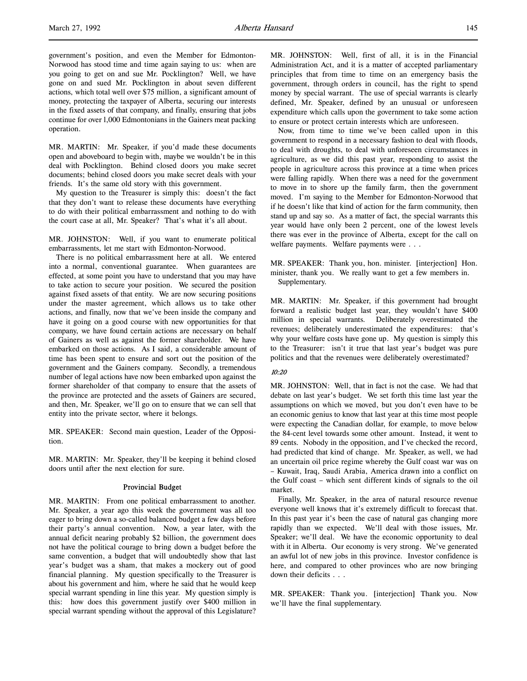government's position, and even the Member for Edmonton-Norwood has stood time and time again saying to us: when are you going to get on and sue Mr. Pocklington? Well, we have gone on and sued Mr. Pocklington in about seven different actions, which total well over \$75 million, a significant amount of money, protecting the taxpayer of Alberta, securing our interests in the fixed assets of that company, and finally, ensuring that jobs continue for over l,000 Edmontonians in the Gainers meat packing operation.

MR. MARTIN: Mr. Speaker, if you'd made these documents open and aboveboard to begin with, maybe we wouldn't be in this deal with Pocklington. Behind closed doors you make secret documents; behind closed doors you make secret deals with your friends. It's the same old story with this government.

My question to the Treasurer is simply this: doesn't the fact that they don't want to release these documents have everything to do with their political embarrassment and nothing to do with the court case at all, Mr. Speaker? That's what it's all about.

MR. JOHNSTON: Well, if you want to enumerate political embarrassments, let me start with Edmonton-Norwood.

There is no political embarrassment here at all. We entered into a normal, conventional guarantee. When guarantees are effected, at some point you have to understand that you may have to take action to secure your position. We secured the position against fixed assets of that entity. We are now securing positions under the master agreement, which allows us to take other actions, and finally, now that we've been inside the company and have it going on a good course with new opportunities for that company, we have found certain actions are necessary on behalf of Gainers as well as against the former shareholder. We have embarked on those actions. As I said, a considerable amount of time has been spent to ensure and sort out the position of the government and the Gainers company. Secondly, a tremendous number of legal actions have now been embarked upon against the former shareholder of that company to ensure that the assets of the province are protected and the assets of Gainers are secured, and then, Mr. Speaker, we'll go on to ensure that we can sell that entity into the private sector, where it belongs.

MR. SPEAKER: Second main question, Leader of the Opposition.

MR. MARTIN: Mr. Speaker, they'll be keeping it behind closed doors until after the next election for sure.

## Provincial Budget

MR. MARTIN: From one political embarrassment to another. Mr. Speaker, a year ago this week the government was all too eager to bring down a so-called balanced budget a few days before their party's annual convention. Now, a year later, with the annual deficit nearing probably \$2 billion, the government does not have the political courage to bring down a budget before the same convention, a budget that will undoubtedly show that last year's budget was a sham, that makes a mockery out of good financial planning. My question specifically to the Treasurer is about his government and him, where he said that he would keep special warrant spending in line this year. My question simply is this: how does this government justify over \$400 million in special warrant spending without the approval of this Legislature?

MR. JOHNSTON: Well, first of all, it is in the Financial Administration Act, and it is a matter of accepted parliamentary principles that from time to time on an emergency basis the government, through orders in council, has the right to spend money by special warrant. The use of special warrants is clearly defined, Mr. Speaker, defined by an unusual or unforeseen expenditure which calls upon the government to take some action to ensure or protect certain interests which are unforeseen.

Now, from time to time we've been called upon in this government to respond in a necessary fashion to deal with floods, to deal with droughts, to deal with unforeseen circumstances in agriculture, as we did this past year, responding to assist the people in agriculture across this province at a time when prices were falling rapidly. When there was a need for the government to move in to shore up the family farm, then the government moved. I'm saying to the Member for Edmonton-Norwood that if he doesn't like that kind of action for the farm community, then stand up and say so. As a matter of fact, the special warrants this year would have only been 2 percent, one of the lowest levels there was ever in the province of Alberta, except for the call on welfare payments. Welfare payments were . . .

MR. SPEAKER: Thank you, hon. minister. [interjection] Hon. minister, thank you. We really want to get a few members in. Supplementary.

MR. MARTIN: Mr. Speaker, if this government had brought forward a realistic budget last year, they wouldn't have \$400 million in special warrants. Deliberately overestimated the revenues; deliberately underestimated the expenditures: that's why your welfare costs have gone up. My question is simply this to the Treasurer: isn't it true that last year's budget was pure politics and that the revenues were deliberately overestimated?

### 10:20

MR. JOHNSTON: Well, that in fact is not the case. We had that debate on last year's budget. We set forth this time last year the assumptions on which we moved, but you don't even have to be an economic genius to know that last year at this time most people were expecting the Canadian dollar, for example, to move below the 84-cent level towards some other amount. Instead, it went to 89 cents. Nobody in the opposition, and I've checked the record, had predicted that kind of change. Mr. Speaker, as well, we had an uncertain oil price regime whereby the Gulf coast war was on – Kuwait, Iraq, Saudi Arabia, America drawn into a conflict on the Gulf coast – which sent different kinds of signals to the oil market.

Finally, Mr. Speaker, in the area of natural resource revenue everyone well knows that it's extremely difficult to forecast that. In this past year it's been the case of natural gas changing more rapidly than we expected. We'll deal with those issues, Mr. Speaker; we'll deal. We have the economic opportunity to deal with it in Alberta. Our economy is very strong. We've generated an awful lot of new jobs in this province. Investor confidence is here, and compared to other provinces who are now bringing down their deficits . . .

MR. SPEAKER: Thank you. [interjection] Thank you. Now we'll have the final supplementary.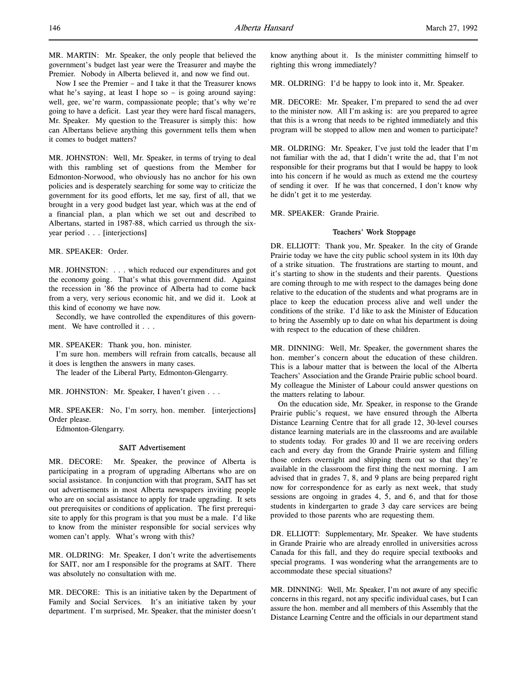MR. MARTIN: Mr. Speaker, the only people that believed the government's budget last year were the Treasurer and maybe the Premier. Nobody in Alberta believed it, and now we find out.

Now I see the Premier – and I take it that the Treasurer knows what he's saying, at least I hope so  $-$  is going around saying: well, gee, we're warm, compassionate people; that's why we're going to have a deficit. Last year they were hard fiscal managers, Mr. Speaker. My question to the Treasurer is simply this: how can Albertans believe anything this government tells them when it comes to budget matters?

MR. JOHNSTON: Well, Mr. Speaker, in terms of trying to deal with this rambling set of questions from the Member for Edmonton-Norwood, who obviously has no anchor for his own policies and is desperately searching for some way to criticize the government for its good efforts, let me say, first of all, that we brought in a very good budget last year, which was at the end of a financial plan, a plan which we set out and described to Albertans, started in 1987-88, which carried us through the sixyear period . . . [interjections]

MR. SPEAKER: Order.

MR. JOHNSTON: . . . which reduced our expenditures and got the economy going. That's what this government did. Against the recession in '86 the province of Alberta had to come back from a very, very serious economic hit, and we did it. Look at this kind of economy we have now.

Secondly, we have controlled the expenditures of this government. We have controlled it . . .

MR. SPEAKER: Thank you, hon. minister.

I'm sure hon. members will refrain from catcalls, because all it does is lengthen the answers in many cases.

The leader of the Liberal Party, Edmonton-Glengarry.

MR. JOHNSTON: Mr. Speaker, I haven't given . . .

MR. SPEAKER: No, I'm sorry, hon. member. [interjections] Order please.

Edmonton-Glengarry.

### SAIT Advertisement

MR. DECORE: Mr. Speaker, the province of Alberta is participating in a program of upgrading Albertans who are on social assistance. In conjunction with that program, SAIT has set out advertisements in most Alberta newspapers inviting people who are on social assistance to apply for trade upgrading. It sets out prerequisites or conditions of application. The first prerequisite to apply for this program is that you must be a male. I'd like to know from the minister responsible for social services why women can't apply. What's wrong with this?

MR. OLDRING: Mr. Speaker, I don't write the advertisements for SAIT, nor am I responsible for the programs at SAIT. There was absolutely no consultation with me.

MR. DECORE: This is an initiative taken by the Department of Family and Social Services. It's an initiative taken by your department. I'm surprised, Mr. Speaker, that the minister doesn't know anything about it. Is the minister committing himself to righting this wrong immediately?

MR. OLDRING: I'd be happy to look into it, Mr. Speaker.

MR. DECORE: Mr. Speaker, I'm prepared to send the ad over to the minister now. All I'm asking is: are you prepared to agree that this is a wrong that needs to be righted immediately and this program will be stopped to allow men and women to participate?

MR. OLDRING: Mr. Speaker, I've just told the leader that I'm not familiar with the ad, that I didn't write the ad, that I'm not responsible for their programs but that I would be happy to look into his concern if he would as much as extend me the courtesy of sending it over. If he was that concerned, I don't know why he didn't get it to me yesterday.

MR. SPEAKER: Grande Prairie.

# Teachers' Work Stoppage

DR. ELLIOTT: Thank you, Mr. Speaker. In the city of Grande Prairie today we have the city public school system in its 10th day of a strike situation. The frustrations are starting to mount, and it's starting to show in the students and their parents. Questions are coming through to me with respect to the damages being done relative to the education of the students and what programs are in place to keep the education process alive and well under the conditions of the strike. I'd like to ask the Minister of Education to bring the Assembly up to date on what his department is doing with respect to the education of these children.

MR. DINNING: Well, Mr. Speaker, the government shares the hon. member's concern about the education of these children. This is a labour matter that is between the local of the Alberta Teachers' Association and the Grande Prairie public school board. My colleague the Minister of Labour could answer questions on the matters relating to labour.

On the education side, Mr. Speaker, in response to the Grande Prairie public's request, we have ensured through the Alberta Distance Learning Centre that for all grade 12, 30-level courses distance learning materials are in the classrooms and are available to students today. For grades 10 and 11 we are receiving orders each and every day from the Grande Prairie system and filling those orders overnight and shipping them out so that they're available in the classroom the first thing the next morning. I am advised that in grades 7, 8, and 9 plans are being prepared right now for correspondence for as early as next week, that study sessions are ongoing in grades 4, 5, and 6, and that for those students in kindergarten to grade 3 day care services are being provided to those parents who are requesting them.

DR. ELLIOTT: Supplementary, Mr. Speaker. We have students in Grande Prairie who are already enrolled in universities across Canada for this fall, and they do require special textbooks and special programs. I was wondering what the arrangements are to accommodate these special situations?

MR. DINNING: Well, Mr. Speaker, I'm not aware of any specific concerns in this regard, not any specific individual cases, but I can assure the hon. member and all members of this Assembly that the Distance Learning Centre and the officials in our department stand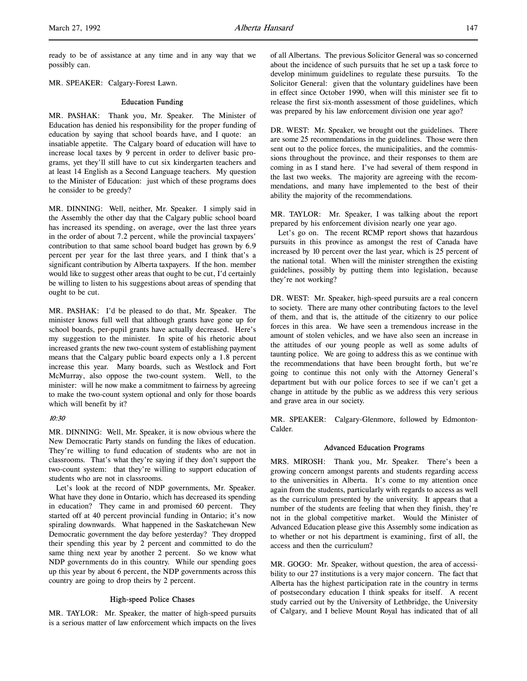l,

MR. SPEAKER: Calgary-Forest Lawn.

### Education Funding

MR. PASHAK: Thank you, Mr. Speaker. The Minister of Education has denied his responsibility for the proper funding of education by saying that school boards have, and I quote: an insatiable appetite. The Calgary board of education will have to increase local taxes by 9 percent in order to deliver basic programs, yet they'll still have to cut six kindergarten teachers and at least 14 English as a Second Language teachers. My question to the Minister of Education: just which of these programs does he consider to be greedy?

MR. DINNING: Well, neither, Mr. Speaker. I simply said in the Assembly the other day that the Calgary public school board has increased its spending, on average, over the last three years in the order of about 7.2 percent, while the provincial taxpayers' contribution to that same school board budget has grown by 6.9 percent per year for the last three years, and I think that's a significant contribution by Alberta taxpayers. If the hon. member would like to suggest other areas that ought to be cut, I'd certainly be willing to listen to his suggestions about areas of spending that ought to be cut.

MR. PASHAK: I'd be pleased to do that, Mr. Speaker. The minister knows full well that although grants have gone up for school boards, per-pupil grants have actually decreased. Here's my suggestion to the minister. In spite of his rhetoric about increased grants the new two-count system of establishing payment means that the Calgary public board expects only a 1.8 percent increase this year. Many boards, such as Westlock and Fort McMurray, also oppose the two-count system. Well, to the minister: will he now make a commitment to fairness by agreeing to make the two-count system optional and only for those boards which will benefit by it?

### 10:30

MR. DINNING: Well, Mr. Speaker, it is now obvious where the New Democratic Party stands on funding the likes of education. They're willing to fund education of students who are not in classrooms. That's what they're saying if they don't support the two-count system: that they're willing to support education of students who are not in classrooms.

Let's look at the record of NDP governments, Mr. Speaker. What have they done in Ontario, which has decreased its spending in education? They came in and promised 60 percent. They started off at 40 percent provincial funding in Ontario; it's now spiraling downwards. What happened in the Saskatchewan New Democratic government the day before yesterday? They dropped their spending this year by 2 percent and committed to do the same thing next year by another 2 percent. So we know what NDP governments do in this country. While our spending goes up this year by about 6 percent, the NDP governments across this country are going to drop theirs by 2 percent.

# High-speed Police Chases

MR. TAYLOR: Mr. Speaker, the matter of high-speed pursuits is a serious matter of law enforcement which impacts on the lives

of all Albertans. The previous Solicitor General was so concerned about the incidence of such pursuits that he set up a task force to develop minimum guidelines to regulate these pursuits. To the Solicitor General: given that the voluntary guidelines have been in effect since October 1990, when will this minister see fit to release the first six-month assessment of those guidelines, which was prepared by his law enforcement division one year ago?

DR. WEST: Mr. Speaker, we brought out the guidelines. There are some 25 recommendations in the guidelines. Those were then sent out to the police forces, the municipalities, and the commissions throughout the province, and their responses to them are coming in as I stand here. I've had several of them respond in the last two weeks. The majority are agreeing with the recommendations, and many have implemented to the best of their ability the majority of the recommendations.

MR. TAYLOR: Mr. Speaker, I was talking about the report prepared by his enforcement division nearly one year ago.

Let's go on. The recent RCMP report shows that hazardous pursuits in this province as amongst the rest of Canada have increased by 10 percent over the last year, which is 25 percent of the national total. When will the minister strengthen the existing guidelines, possibly by putting them into legislation, because they're not working?

DR. WEST: Mr. Speaker, high-speed pursuits are a real concern to society. There are many other contributing factors to the level of them, and that is, the attitude of the citizenry to our police forces in this area. We have seen a tremendous increase in the amount of stolen vehicles, and we have also seen an increase in the attitudes of our young people as well as some adults of taunting police. We are going to address this as we continue with the recommendations that have been brought forth, but we're going to continue this not only with the Attorney General's department but with our police forces to see if we can't get a change in attitude by the public as we address this very serious and grave area in our society.

MR. SPEAKER: Calgary-Glenmore, followed by Edmonton-Calder.

### Advanced Education Programs

MRS. MIROSH: Thank you, Mr. Speaker. There's been a growing concern amongst parents and students regarding access to the universities in Alberta. It's come to my attention once again from the students, particularly with regards to access as well as the curriculum presented by the university. It appears that a number of the students are feeling that when they finish, they're not in the global competitive market. Would the Minister of Advanced Education please give this Assembly some indication as to whether or not his department is examining, first of all, the access and then the curriculum?

MR. GOGO: Mr. Speaker, without question, the area of accessibility to our 27 institutions is a very major concern. The fact that Alberta has the highest participation rate in the country in terms of postsecondary education I think speaks for itself. A recent study carried out by the University of Lethbridge, the University of Calgary, and I believe Mount Royal has indicated that of all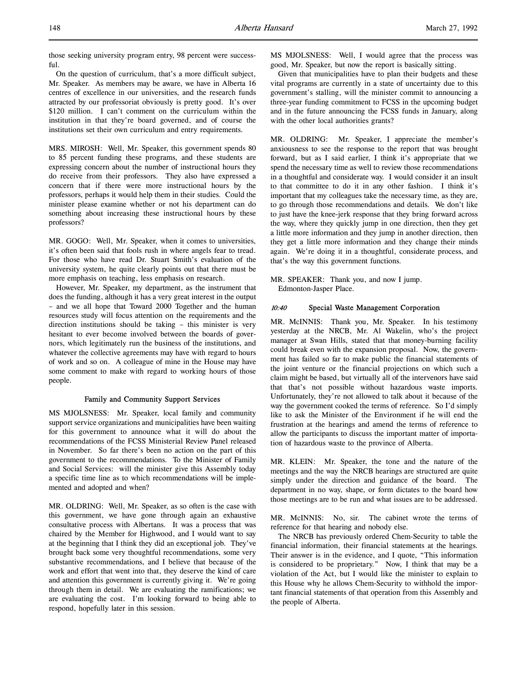those seeking university program entry, 98 percent were successful.

On the question of curriculum, that's a more difficult subject, Mr. Speaker. As members may be aware, we have in Alberta 16 centres of excellence in our universities, and the research funds attracted by our professoriat obviously is pretty good. It's over \$120 million. I can't comment on the curriculum within the institution in that they're board governed, and of course the institutions set their own curriculum and entry requirements.

MRS. MIROSH: Well, Mr. Speaker, this government spends 80 to 85 percent funding these programs, and these students are expressing concern about the number of instructional hours they do receive from their professors. They also have expressed a concern that if there were more instructional hours by the professors, perhaps it would help them in their studies. Could the minister please examine whether or not his department can do something about increasing these instructional hours by these professors?

MR. GOGO: Well, Mr. Speaker, when it comes to universities, it's often been said that fools rush in where angels fear to tread. For those who have read Dr. Stuart Smith's evaluation of the university system, he quite clearly points out that there must be more emphasis on teaching, less emphasis on research.

However, Mr. Speaker, my department, as the instrument that does the funding, although it has a very great interest in the output – and we all hope that Toward 2000 Together and the human resources study will focus attention on the requirements and the direction institutions should be taking – this minister is very hesitant to ever become involved between the boards of governors, which legitimately run the business of the institutions, and whatever the collective agreements may have with regard to hours of work and so on. A colleague of mine in the House may have some comment to make with regard to working hours of those people.

#### Family and Community Support Services

MS MJOLSNESS: Mr. Speaker, local family and community support service organizations and municipalities have been waiting for this government to announce what it will do about the recommendations of the FCSS Ministerial Review Panel released in November. So far there's been no action on the part of this government to the recommendations. To the Minister of Family and Social Services: will the minister give this Assembly today a specific time line as to which recommendations will be implemented and adopted and when?

MR. OLDRING: Well, Mr. Speaker, as so often is the case with this government, we have gone through again an exhaustive consultative process with Albertans. It was a process that was chaired by the Member for Highwood, and I would want to say at the beginning that I think they did an exceptional job. They've brought back some very thoughtful recommendations, some very substantive recommendations, and I believe that because of the work and effort that went into that, they deserve the kind of care and attention this government is currently giving it. We're going through them in detail. We are evaluating the ramifications; we are evaluating the cost. I'm looking forward to being able to respond, hopefully later in this session.

MS MJOLSNESS: Well, I would agree that the process was good, Mr. Speaker, but now the report is basically sitting.

Given that municipalities have to plan their budgets and these vital programs are currently in a state of uncertainty due to this government's stalling, will the minister commit to announcing a three-year funding commitment to FCSS in the upcoming budget and in the future announcing the FCSS funds in January, along with the other local authorities grants?

MR. OLDRING: Mr. Speaker, I appreciate the member's anxiousness to see the response to the report that was brought forward, but as I said earlier, I think it's appropriate that we spend the necessary time as well to review those recommendations in a thoughtful and considerate way. I would consider it an insult to that committee to do it in any other fashion. I think it's important that my colleagues take the necessary time, as they are, to go through those recommendations and details. We don't like to just have the knee-jerk response that they bring forward across the way, where they quickly jump in one direction, then they get a little more information and they jump in another direction, then they get a little more information and they change their minds again. We're doing it in a thoughtful, considerate process, and that's the way this government functions.

MR. SPEAKER: Thank you, and now I jump. Edmonton-Jasper Place.

### 10:40 Special Waste Management Corporation

MR. McINNIS: Thank you, Mr. Speaker. In his testimony yesterday at the NRCB, Mr. Al Wakelin, who's the project manager at Swan Hills, stated that that money-burning facility could break even with the expansion proposal. Now, the government has failed so far to make public the financial statements of the joint venture or the financial projections on which such a claim might be based, but virtually all of the intervenors have said that that's not possible without hazardous waste imports. Unfortunately, they're not allowed to talk about it because of the way the government cooked the terms of reference. So I'd simply like to ask the Minister of the Environment if he will end the frustration at the hearings and amend the terms of reference to allow the participants to discuss the important matter of importation of hazardous waste to the province of Alberta.

MR. KLEIN: Mr. Speaker, the tone and the nature of the meetings and the way the NRCB hearings are structured are quite simply under the direction and guidance of the board. The department in no way, shape, or form dictates to the board how those meetings are to be run and what issues are to be addressed.

MR. McINNIS: No, sir. The cabinet wrote the terms of reference for that hearing and nobody else.

The NRCB has previously ordered Chem-Security to table the financial information, their financial statements at the hearings. Their answer is in the evidence, and I quote, "This information is considered to be proprietary." Now, I think that may be a violation of the Act, but I would like the minister to explain to this House why he allows Chem-Security to withhold the important financial statements of that operation from this Assembly and the people of Alberta.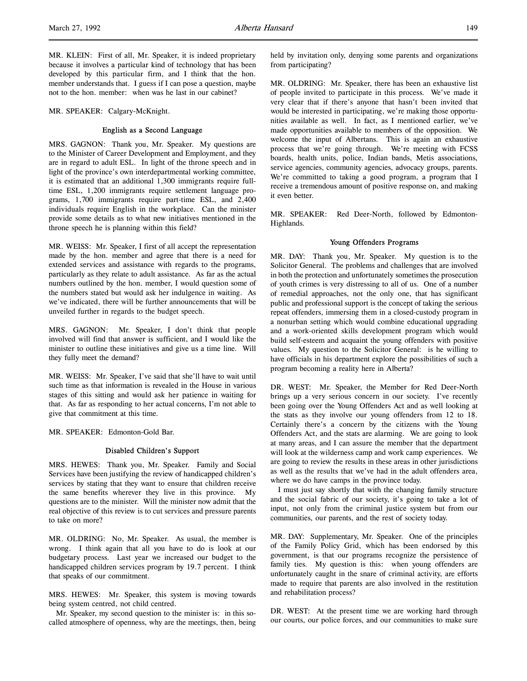MR. SPEAKER: Calgary-McKnight.

## English as a Second Language

MRS. GAGNON: Thank you, Mr. Speaker. My questions are to the Minister of Career Development and Employment, and they are in regard to adult ESL. In light of the throne speech and in light of the province's own interdepartmental working committee, it is estimated that an additional 1,300 immigrants require fulltime ESL, 1,200 immigrants require settlement language programs, 1,700 immigrants require part-time ESL, and 2,400 individuals require English in the workplace. Can the minister provide some details as to what new initiatives mentioned in the throne speech he is planning within this field?

MR. WEISS: Mr. Speaker, I first of all accept the representation made by the hon. member and agree that there is a need for extended services and assistance with regards to the programs, particularly as they relate to adult assistance. As far as the actual numbers outlined by the hon. member, I would question some of the numbers stated but would ask her indulgence in waiting. As we've indicated, there will be further announcements that will be unveiled further in regards to the budget speech.

MRS. GAGNON: Mr. Speaker, I don't think that people involved will find that answer is sufficient, and I would like the minister to outline these initiatives and give us a time line. Will they fully meet the demand?

MR. WEISS: Mr. Speaker, I've said that she'll have to wait until such time as that information is revealed in the House in various stages of this sitting and would ask her patience in waiting for that. As far as responding to her actual concerns, I'm not able to give that commitment at this time.

MR. SPEAKER: Edmonton-Gold Bar.

## Disabled Children's Support

MRS. HEWES: Thank you, Mr. Speaker. Family and Social Services have been justifying the review of handicapped children's services by stating that they want to ensure that children receive the same benefits wherever they live in this province. My questions are to the minister. Will the minister now admit that the real objective of this review is to cut services and pressure parents to take on more?

MR. OLDRING: No, Mr. Speaker. As usual, the member is wrong. I think again that all you have to do is look at our budgetary process. Last year we increased our budget to the handicapped children services program by 19.7 percent. I think that speaks of our commitment.

MRS. HEWES: Mr. Speaker, this system is moving towards being system centred, not child centred.

Mr. Speaker, my second question to the minister is: in this socalled atmosphere of openness, why are the meetings, then, being

held by invitation only, denying some parents and organizations from participating?

MR. OLDRING: Mr. Speaker, there has been an exhaustive list of people invited to participate in this process. We've made it very clear that if there's anyone that hasn't been invited that would be interested in participating, we're making those opportunities available as well. In fact, as I mentioned earlier, we've made opportunities available to members of the opposition. We welcome the input of Albertans. This is again an exhaustive process that we're going through. We're meeting with FCSS boards, health units, police, Indian bands, Metis associations, service agencies, community agencies, advocacy groups, parents. We're committed to taking a good program, a program that I receive a tremendous amount of positive response on, and making it even better.

MR. SPEAKER: Red Deer-North, followed by Edmonton-Highlands.

### Young Offenders Programs

MR. DAY: Thank you, Mr. Speaker. My question is to the Solicitor General. The problems and challenges that are involved in both the protection and unfortunately sometimes the prosecution of youth crimes is very distressing to all of us. One of a number of remedial approaches, not the only one, that has significant public and professional support is the concept of taking the serious repeat offenders, immersing them in a closed-custody program in a nonurban setting which would combine educational upgrading and a work-oriented skills development program which would build self-esteem and acquaint the young offenders with positive values. My question to the Solicitor General: is he willing to have officials in his department explore the possibilities of such a program becoming a reality here in Alberta?

DR. WEST: Mr. Speaker, the Member for Red Deer-North brings up a very serious concern in our society. I've recently been going over the Young Offenders Act and as well looking at the stats as they involve our young offenders from 12 to 18. Certainly there's a concern by the citizens with the Young Offenders Act, and the stats are alarming. We are going to look at many areas, and I can assure the member that the department will look at the wilderness camp and work camp experiences. We are going to review the results in these areas in other jurisdictions as well as the results that we've had in the adult offenders area, where we do have camps in the province today.

I must just say shortly that with the changing family structure and the social fabric of our society, it's going to take a lot of input, not only from the criminal justice system but from our communities, our parents, and the rest of society today.

MR. DAY: Supplementary, Mr. Speaker. One of the principles of the Family Policy Grid, which has been endorsed by this government, is that our programs recognize the persistence of family ties. My question is this: when young offenders are unfortunately caught in the snare of criminal activity, are efforts made to require that parents are also involved in the restitution and rehabilitation process?

DR. WEST: At the present time we are working hard through our courts, our police forces, and our communities to make sure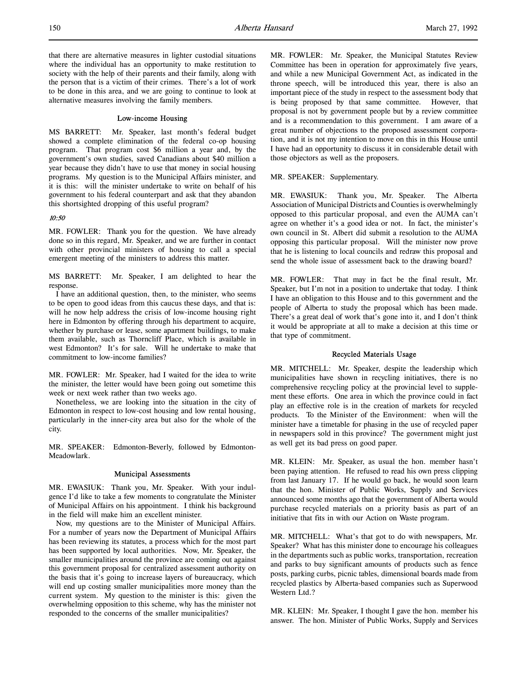### Low-income Housing

MS BARRETT: Mr. Speaker, last month's federal budget showed a complete elimination of the federal co-op housing program. That program cost \$6 million a year and, by the government's own studies, saved Canadians about \$40 million a year because they didn't have to use that money in social housing programs. My question is to the Municipal Affairs minister, and it is this: will the minister undertake to write on behalf of his government to his federal counterpart and ask that they abandon this shortsighted dropping of this useful program?

### 10:50

MR. FOWLER: Thank you for the question. We have already done so in this regard, Mr. Speaker, and we are further in contact with other provincial ministers of housing to call a special emergent meeting of the ministers to address this matter.

MS BARRETT: Mr. Speaker, I am delighted to hear the response.

I have an additional question, then, to the minister, who seems to be open to good ideas from this caucus these days, and that is: will he now help address the crisis of low-income housing right here in Edmonton by offering through his department to acquire, whether by purchase or lease, some apartment buildings, to make them available, such as Thorncliff Place, which is available in west Edmonton? It's for sale. Will he undertake to make that commitment to low-income families?

MR. FOWLER: Mr. Speaker, had I waited for the idea to write the minister, the letter would have been going out sometime this week or next week rather than two weeks ago.

Nonetheless, we are looking into the situation in the city of Edmonton in respect to low-cost housing and low rental housing, particularly in the inner-city area but also for the whole of the city.

MR. SPEAKER: Edmonton-Beverly, followed by Edmonton-Meadowlark.

#### Municipal Assessments

MR. EWASIUK: Thank you, Mr. Speaker. With your indulgence I'd like to take a few moments to congratulate the Minister of Municipal Affairs on his appointment. I think his background in the field will make him an excellent minister.

Now, my questions are to the Minister of Municipal Affairs. For a number of years now the Department of Municipal Affairs has been reviewing its statutes, a process which for the most part has been supported by local authorities. Now, Mr. Speaker, the smaller municipalities around the province are coming out against this government proposal for centralized assessment authority on the basis that it's going to increase layers of bureaucracy, which will end up costing smaller municipalities more money than the current system. My question to the minister is this: given the overwhelming opposition to this scheme, why has the minister not responded to the concerns of the smaller municipalities?

MR. FOWLER: Mr. Speaker, the Municipal Statutes Review Committee has been in operation for approximately five years, and while a new Municipal Government Act, as indicated in the throne speech, will be introduced this year, there is also an important piece of the study in respect to the assessment body that is being proposed by that same committee. However, that proposal is not by government people but by a review committee and is a recommendation to this government. I am aware of a great number of objections to the proposed assessment corporation, and it is not my intention to move on this in this House until I have had an opportunity to discuss it in considerable detail with those objectors as well as the proposers.

### MR. SPEAKER: Supplementary.

MR. EWASIUK: Thank you, Mr. Speaker. The Alberta Association of Municipal Districts and Counties is overwhelmingly opposed to this particular proposal, and even the AUMA can't agree on whether it's a good idea or not. In fact, the minister's own council in St. Albert did submit a resolution to the AUMA opposing this particular proposal. Will the minister now prove that he is listening to local councils and redraw this proposal and send the whole issue of assessment back to the drawing board?

MR. FOWLER: That may in fact be the final result, Mr. Speaker, but I'm not in a position to undertake that today. I think I have an obligation to this House and to this government and the people of Alberta to study the proposal which has been made. There's a great deal of work that's gone into it, and I don't think it would be appropriate at all to make a decision at this time or that type of commitment.

## Recycled Materials Usage

MR. MITCHELL: Mr. Speaker, despite the leadership which municipalities have shown in recycling initiatives, there is no comprehensive recycling policy at the provincial level to supplement these efforts. One area in which the province could in fact play an effective role is in the creation of markets for recycled products. To the Minister of the Environment: when will the minister have a timetable for phasing in the use of recycled paper in newspapers sold in this province? The government might just as well get its bad press on good paper.

MR. KLEIN: Mr. Speaker, as usual the hon. member hasn't been paying attention. He refused to read his own press clipping from last January 17. If he would go back, he would soon learn that the hon. Minister of Public Works, Supply and Services announced some months ago that the government of Alberta would purchase recycled materials on a priority basis as part of an initiative that fits in with our Action on Waste program.

MR. MITCHELL: What's that got to do with newspapers, Mr. Speaker? What has this minister done to encourage his colleagues in the departments such as public works, transportation, recreation and parks to buy significant amounts of products such as fence posts, parking curbs, picnic tables, dimensional boards made from recycled plastics by Alberta-based companies such as Superwood Western Ltd.?

MR. KLEIN: Mr. Speaker, I thought I gave the hon. member his answer. The hon. Minister of Public Works, Supply and Services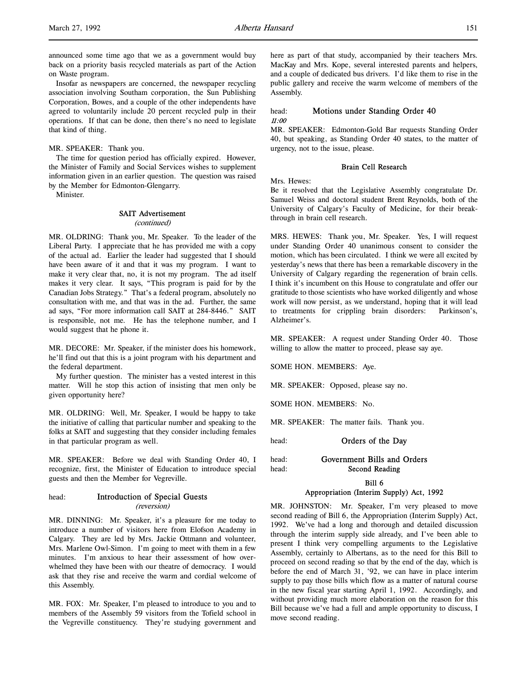announced some time ago that we as a government would buy back on a priority basis recycled materials as part of the Action on Waste program.

Insofar as newspapers are concerned, the newspaper recycling association involving Southam corporation, the Sun Publishing Corporation, Bowes, and a couple of the other independents have agreed to voluntarily include 20 percent recycled pulp in their operations. If that can be done, then there's no need to legislate that kind of thing.

MR. SPEAKER: Thank you.

The time for question period has officially expired. However, the Minister of Family and Social Services wishes to supplement information given in an earlier question. The question was raised by the Member for Edmonton-Glengarry.

Minister.

### SAIT Advertisement (continued)

MR. OLDRING: Thank you, Mr. Speaker. To the leader of the Liberal Party. I appreciate that he has provided me with a copy of the actual ad. Earlier the leader had suggested that I should have been aware of it and that it was my program. I want to make it very clear that, no, it is not my program. The ad itself makes it very clear. It says, "This program is paid for by the Canadian Jobs Strategy." That's a federal program, absolutely no consultation with me, and that was in the ad. Further, the same ad says, "For more information call SAIT at 284-8446." SAIT is responsible, not me. He has the telephone number, and I would suggest that he phone it.

MR. DECORE: Mr. Speaker, if the minister does his homework, he'll find out that this is a joint program with his department and the federal department.

My further question. The minister has a vested interest in this matter. Will he stop this action of insisting that men only be given opportunity here?

MR. OLDRING: Well, Mr. Speaker, I would be happy to take the initiative of calling that particular number and speaking to the folks at SAIT and suggesting that they consider including females in that particular program as well.

MR. SPEAKER: Before we deal with Standing Order 40, I recognize, first, the Minister of Education to introduce special guests and then the Member for Vegreville.

## head: Introduction of Special Guests (reversion)

this Assembly.

MR. DINNING: Mr. Speaker, it's a pleasure for me today to introduce a number of visitors here from Elofson Academy in Calgary. They are led by Mrs. Jackie Ottmann and volunteer, Mrs. Marlene Owl-Simon. I'm going to meet with them in a few minutes. I'm anxious to hear their assessment of how overwhelmed they have been with our theatre of democracy. I would ask that they rise and receive the warm and cordial welcome of

MR. FOX: Mr. Speaker, I'm pleased to introduce to you and to members of the Assembly 59 visitors from the Tofield school in the Vegreville constituency. They're studying government and

here as part of that study, accompanied by their teachers Mrs. MacKay and Mrs. Kope, several interested parents and helpers, and a couple of dedicated bus drivers. I'd like them to rise in the public gallery and receive the warm welcome of members of the Assembly.

## head: Motions under Standing Order 40 11:00

MR. SPEAKER: Edmonton-Gold Bar requests Standing Order 40, but speaking, as Standing Order 40 states, to the matter of urgency, not to the issue, please.

### Brain Cell Research

Mrs. Hewes:

Be it resolved that the Legislative Assembly congratulate Dr. Samuel Weiss and doctoral student Brent Reynolds, both of the University of Calgary's Faculty of Medicine, for their breakthrough in brain cell research.

MRS. HEWES: Thank you, Mr. Speaker. Yes, I will request under Standing Order 40 unanimous consent to consider the motion, which has been circulated. I think we were all excited by yesterday's news that there has been a remarkable discovery in the University of Calgary regarding the regeneration of brain cells. I think it's incumbent on this House to congratulate and offer our gratitude to those scientists who have worked diligently and whose work will now persist, as we understand, hoping that it will lead to treatments for crippling brain disorders: Parkinson's, Alzheimer's.

MR. SPEAKER: A request under Standing Order 40. Those willing to allow the matter to proceed, please say aye.

SOME HON. MEMBERS: Aye.

MR. SPEAKER: Opposed, please say no.

SOME HON. MEMBERS: No.

MR. SPEAKER: The matter fails. Thank you.

head: **Orders of the Day** 

head: Government Bills and Orders head: Second Reading

Bill 6

## Appropriation (Interim Supply) Act, 1992

MR. JOHNSTON: Mr. Speaker, I'm very pleased to move second reading of Bill 6, the Appropriation (Interim Supply) Act, 1992. We've had a long and thorough and detailed discussion through the interim supply side already, and I've been able to present I think very compelling arguments to the Legislative Assembly, certainly to Albertans, as to the need for this Bill to proceed on second reading so that by the end of the day, which is before the end of March 31, '92, we can have in place interim supply to pay those bills which flow as a matter of natural course in the new fiscal year starting April 1, 1992. Accordingly, and without providing much more elaboration on the reason for this Bill because we've had a full and ample opportunity to discuss, I move second reading.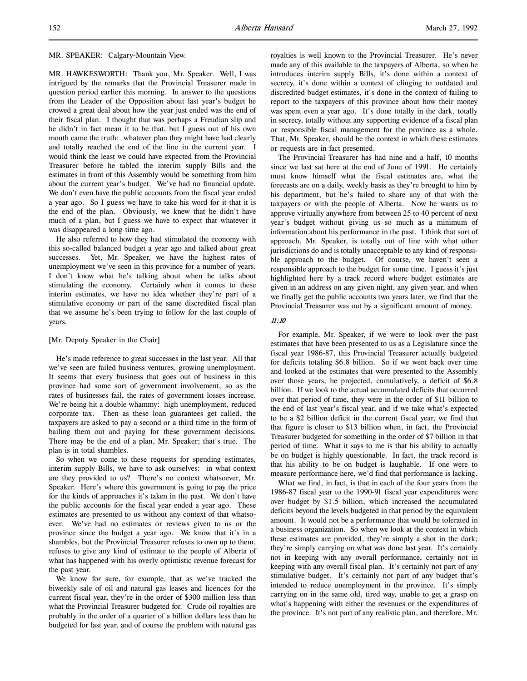### MR. SPEAKER: Calgary-Mountain View.

MR. HAWKESWORTH: Thank you, Mr. Speaker. Well, I was intrigued by the remarks that the Provincial Treasurer made in question period earlier this morning. In answer to the questions from the Leader of the Opposition about last year's budget he crowed a great deal about how the year just ended was the end of their fiscal plan. I thought that was perhaps a Freudian slip and he didn't in fact mean it to be that, but I guess out of his own mouth came the truth: whatever plan they might have had clearly and totally reached the end of the line in the current year. I would think the least we could have expected from the Provincial Treasurer before he tabled the interim supply Bills and the estimates in front of this Assembly would be something from him about the current year's budget. We've had no financial update. We don't even have the public accounts from the fiscal year ended a year ago. So I guess we have to take his word for it that it is the end of the plan. Obviously, we knew that he didn't have much of a plan, but I guess we have to expect that whatever it was disappeared a long time ago.

He also referred to how they had stimulated the economy with this so-called balanced budget a year ago and talked about great successes. Yet, Mr. Speaker, we have the highest rates of unemployment we've seen in this province for a number of years. I don't know what he's talking about when he talks about stimulating the economy. Certainly when it comes to these interim estimates, we have no idea whether they're part of a stimulative economy or part of the same discredited fiscal plan that we assume he's been trying to follow for the last couple of years.

### [Mr. Deputy Speaker in the Chair]

He's made reference to great successes in the last year. All that we've seen are failed business ventures, growing unemployment. It seems that every business that goes out of business in this province had some sort of government involvement, so as the rates of businesses fail, the rates of government losses increase. We're being hit a double whammy: high unemployment, reduced corporate tax. Then as these loan guarantees get called, the taxpayers are asked to pay a second or a third time in the form of bailing them out and paying for these government decisions. There may be the end of a plan, Mr. Speaker; that's true. The plan is in total shambles.

So when we come to these requests for spending estimates, interim supply Bills, we have to ask ourselves: in what context are they provided to us? There's no context whatsoever, Mr. Speaker. Here's where this government is going to pay the price for the kinds of approaches it's taken in the past. We don't have the public accounts for the fiscal year ended a year ago. These estimates are presented to us without any context of that whatsoever. We've had no estimates or reviews given to us or the province since the budget a year ago. We know that it's in a shambles, but the Provincial Treasurer refuses to own up to them, refuses to give any kind of estimate to the people of Alberta of what has happened with his overly optimistic revenue forecast for the past year.

We know for sure, for example, that as we've tracked the biweekly sale of oil and natural gas leases and licences for the current fiscal year, they're in the order of \$300 million less than what the Provincial Treasurer budgeted for. Crude oil royalties are probably in the order of a quarter of a billion dollars less than he budgeted for last year, and of course the problem with natural gas

royalties is well known to the Provincial Treasurer. He's never made any of this available to the taxpayers of Alberta, so when he introduces interim supply Bills, it's done within a context of secrecy, it's done within a context of clinging to outdated and discredited budget estimates, it's done in the context of failing to report to the taxpayers of this province about how their money was spent even a year ago. It's done totally in the dark, totally in secrecy, totally without any supporting evidence of a fiscal plan or responsible fiscal management for the province as a whole. That, Mr. Speaker, should be the context in which these estimates or requests are in fact presented.

The Provincial Treasurer has had nine and a half, 10 months since we last sat here at the end of June of 1991. He certainly must know himself what the fiscal estimates are, what the forecasts are on a daily, weekly basis as they're brought to him by his department, but he's failed to share any of that with the taxpayers or with the people of Alberta. Now he wants us to approve virtually anywhere from between 25 to 40 percent of next year's budget without giving us so much as a minimum of information about his performance in the past. I think that sort of approach, Mr. Speaker, is totally out of line with what other jurisdictions do and is totally unacceptable to any kind of responsible approach to the budget. Of course, we haven't seen a responsible approach to the budget for some time. I guess it's just highlighted here by a track record where budget estimates are given in an address on any given night, any given year, and when we finally get the public accounts two years later, we find that the Provincial Treasurer was out by a significant amount of money.

### 11:10

For example, Mr. Speaker, if we were to look over the past estimates that have been presented to us as a Legislature since the fiscal year 1986-87, this Provincial Treasurer actually budgeted for deficits totaling \$6.8 billion. So if we went back over time and looked at the estimates that were presented to the Assembly over those years, he projected, cumulatively, a deficit of \$6.8 billion. If we look to the actual accumulated deficits that occurred over that period of time, they were in the order of \$11 billion to the end of last year's fiscal year, and if we take what's expected to be a \$2 billion deficit in the current fiscal year, we find that that figure is closer to \$13 billion when, in fact, the Provincial Treasurer budgeted for something in the order of \$7 billion in that period of time. What it says to me is that his ability to actually be on budget is highly questionable. In fact, the track record is that his ability to be on budget is laughable. If one were to measure performance here, we'd find that performance is lacking.

What we find, in fact, is that in each of the four years from the 1986-87 fiscal year to the 1990-91 fiscal year expenditures were over budget by \$1.5 billion, which increased the accumulated deficits beyond the levels budgeted in that period by the equivalent amount. It would not be a performance that would be tolerated in a business organization. So when we look at the context in which these estimates are provided, they're simply a shot in the dark; they're simply carrying on what was done last year. It's certainly not in keeping with any overall performance, certainly not in keeping with any overall fiscal plan. It's certainly not part of any stimulative budget. It's certainly not part of any budget that's intended to reduce unemployment in the province. It's simply carrying on in the same old, tired way, unable to get a grasp on what's happening with either the revenues or the expenditures of the province. It's not part of any realistic plan, and therefore, Mr.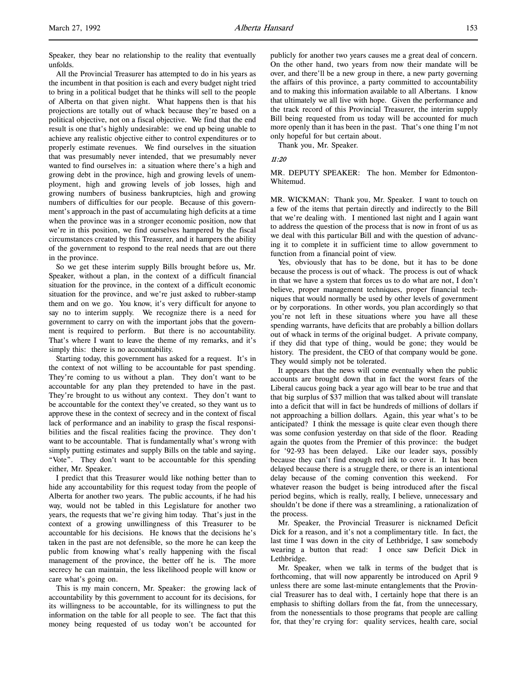Speaker, they bear no relationship to the reality that eventually unfolds.

All the Provincial Treasurer has attempted to do in his years as the incumbent in that position is each and every budget night tried to bring in a political budget that he thinks will sell to the people of Alberta on that given night. What happens then is that his projections are totally out of whack because they're based on a political objective, not on a fiscal objective. We find that the end result is one that's highly undesirable: we end up being unable to achieve any realistic objective either to control expenditures or to properly estimate revenues. We find ourselves in the situation that was presumably never intended, that we presumably never wanted to find ourselves in: a situation where there's a high and growing debt in the province, high and growing levels of unemployment, high and growing levels of job losses, high and growing numbers of business bankruptcies, high and growing numbers of difficulties for our people. Because of this government's approach in the past of accumulating high deficits at a time when the province was in a stronger economic position, now that we're in this position, we find ourselves hampered by the fiscal circumstances created by this Treasurer, and it hampers the ability of the government to respond to the real needs that are out there in the province.

So we get these interim supply Bills brought before us, Mr. Speaker, without a plan, in the context of a difficult financial situation for the province, in the context of a difficult economic situation for the province, and we're just asked to rubber-stamp them and on we go. You know, it's very difficult for anyone to say no to interim supply. We recognize there is a need for government to carry on with the important jobs that the government is required to perform. But there is no accountability. That's where I want to leave the theme of my remarks, and it's simply this: there is no accountability.

Starting today, this government has asked for a request. It's in the context of not willing to be accountable for past spending. They're coming to us without a plan. They don't want to be accountable for any plan they pretended to have in the past. They're brought to us without any context. They don't want to be accountable for the context they've created, so they want us to approve these in the context of secrecy and in the context of fiscal lack of performance and an inability to grasp the fiscal responsibilities and the fiscal realities facing the province. They don't want to be accountable. That is fundamentally what's wrong with simply putting estimates and supply Bills on the table and saying, "Vote". They don't want to be accountable for this spending either, Mr. Speaker.

I predict that this Treasurer would like nothing better than to hide any accountability for this request today from the people of Alberta for another two years. The public accounts, if he had his way, would not be tabled in this Legislature for another two years, the requests that we're giving him today. That's just in the context of a growing unwillingness of this Treasurer to be accountable for his decisions. He knows that the decisions he's taken in the past are not defensible, so the more he can keep the public from knowing what's really happening with the fiscal management of the province, the better off he is. The more secrecy he can maintain, the less likelihood people will know or care what's going on.

This is my main concern, Mr. Speaker: the growing lack of accountability by this government to account for its decisions, for its willingness to be accountable, for its willingness to put the information on the table for all people to see. The fact that this money being requested of us today won't be accounted for publicly for another two years causes me a great deal of concern. On the other hand, two years from now their mandate will be over, and there'll be a new group in there, a new party governing the affairs of this province, a party committed to accountability and to making this information available to all Albertans. I know that ultimately we all live with hope. Given the performance and the track record of this Provincial Treasurer, the interim supply Bill being requested from us today will be accounted for much more openly than it has been in the past. That's one thing I'm not only hopeful for but certain about.

Thank you, Mr. Speaker.

#### $11 \cdot 20$

MR. DEPUTY SPEAKER: The hon. Member for Edmonton-Whitemud.

MR. WICKMAN: Thank you, Mr. Speaker. I want to touch on a few of the items that pertain directly and indirectly to the Bill that we're dealing with. I mentioned last night and I again want to address the question of the process that is now in front of us as we deal with this particular Bill and with the question of advancing it to complete it in sufficient time to allow government to function from a financial point of view.

Yes, obviously that has to be done, but it has to be done because the process is out of whack. The process is out of whack in that we have a system that forces us to do what are not, I don't believe, proper management techniques, proper financial techniques that would normally be used by other levels of government or by corporations. In other words, you plan accordingly so that you're not left in these situations where you have all these spending warrants, have deficits that are probably a billion dollars out of whack in terms of the original budget. A private company, if they did that type of thing, would be gone; they would be history. The president, the CEO of that company would be gone. They would simply not be tolerated.

It appears that the news will come eventually when the public accounts are brought down that in fact the worst fears of the Liberal caucus going back a year ago will bear to be true and that that big surplus of \$37 million that was talked about will translate into a deficit that will in fact be hundreds of millions of dollars if not approaching a billion dollars. Again, this year what's to be anticipated? I think the message is quite clear even though there was some confusion yesterday on that side of the floor. Reading again the quotes from the Premier of this province: the budget for '92-93 has been delayed. Like our leader says, possibly because they can't find enough red ink to cover it. It has been delayed because there is a struggle there, or there is an intentional delay because of the coming convention this weekend. For whatever reason the budget is being introduced after the fiscal period begins, which is really, really, I believe, unnecessary and shouldn't be done if there was a streamlining, a rationalization of the process.

Mr. Speaker, the Provincial Treasurer is nicknamed Deficit Dick for a reason, and it's not a complimentary title. In fact, the last time I was down in the city of Lethbridge, I saw somebody wearing a button that read: I once saw Deficit Dick in Lethbridge.

Mr. Speaker, when we talk in terms of the budget that is forthcoming, that will now apparently be introduced on April 9 unless there are some last-minute entanglements that the Provincial Treasurer has to deal with, I certainly hope that there is an emphasis to shifting dollars from the fat, from the unnecessary, from the nonessentials to those programs that people are calling for, that they're crying for: quality services, health care, social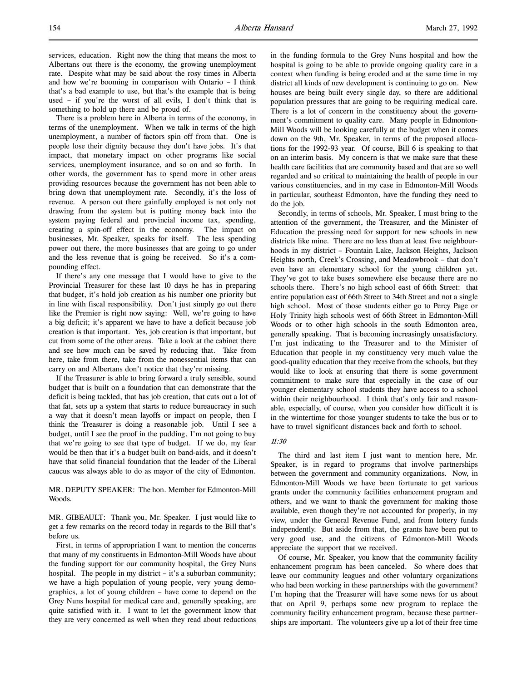There is a problem here in Alberta in terms of the economy, in terms of the unemployment. When we talk in terms of the high unemployment, a number of factors spin off from that. One is people lose their dignity because they don't have jobs. It's that impact, that monetary impact on other programs like social services, unemployment insurance, and so on and so forth. In other words, the government has to spend more in other areas providing resources because the government has not been able to bring down that unemployment rate. Secondly, it's the loss of revenue. A person out there gainfully employed is not only not drawing from the system but is putting money back into the system paying federal and provincial income tax, spending, creating a spin-off effect in the economy. The impact on businesses, Mr. Speaker, speaks for itself. The less spending power out there, the more businesses that are going to go under and the less revenue that is going be received. So it's a compounding effect.

If there's any one message that I would have to give to the Provincial Treasurer for these last 10 days he has in preparing that budget, it's hold job creation as his number one priority but in line with fiscal responsibility. Don't just simply go out there like the Premier is right now saying: Well, we're going to have a big deficit; it's apparent we have to have a deficit because job creation is that important. Yes, job creation is that important, but cut from some of the other areas. Take a look at the cabinet there and see how much can be saved by reducing that. Take from here, take from there, take from the nonessential items that can carry on and Albertans don't notice that they're missing.

If the Treasurer is able to bring forward a truly sensible, sound budget that is built on a foundation that can demonstrate that the deficit is being tackled, that has job creation, that cuts out a lot of that fat, sets up a system that starts to reduce bureaucracy in such a way that it doesn't mean layoffs or impact on people, then I think the Treasurer is doing a reasonable job. Until I see a budget, until I see the proof in the pudding, I'm not going to buy that we're going to see that type of budget. If we do, my fear would be then that it's a budget built on band-aids, and it doesn't have that solid financial foundation that the leader of the Liberal caucus was always able to do as mayor of the city of Edmonton.

MR. DEPUTY SPEAKER: The hon. Member for Edmonton-Mill Woods.

MR. GIBEAULT: Thank you, Mr. Speaker. I just would like to get a few remarks on the record today in regards to the Bill that's before us.

First, in terms of appropriation I want to mention the concerns that many of my constituents in Edmonton-Mill Woods have about the funding support for our community hospital, the Grey Nuns hospital. The people in my district – it's a suburban community; we have a high population of young people, very young demographics, a lot of young children – have come to depend on the Grey Nuns hospital for medical care and, generally speaking, are quite satisfied with it. I want to let the government know that they are very concerned as well when they read about reductions in the funding formula to the Grey Nuns hospital and how the hospital is going to be able to provide ongoing quality care in a context when funding is being eroded and at the same time in my district all kinds of new development is continuing to go on. New houses are being built every single day, so there are additional population pressures that are going to be requiring medical care. There is a lot of concern in the constituency about the government's commitment to quality care. Many people in Edmonton-Mill Woods will be looking carefully at the budget when it comes down on the 9th, Mr. Speaker, in terms of the proposed allocations for the 1992-93 year. Of course, Bill 6 is speaking to that on an interim basis. My concern is that we make sure that these health care facilities that are community based and that are so well regarded and so critical to maintaining the health of people in our various constituencies, and in my case in Edmonton-Mill Woods in particular, southeast Edmonton, have the funding they need to do the job.

Secondly, in terms of schools, Mr. Speaker, I must bring to the attention of the government, the Treasurer, and the Minister of Education the pressing need for support for new schools in new districts like mine. There are no less than at least five neighbourhoods in my district – Fountain Lake, Jackson Heights, Jackson Heights north, Creek's Crossing, and Meadowbrook – that don't even have an elementary school for the young children yet. They've got to take buses somewhere else because there are no schools there. There's no high school east of 66th Street: that entire population east of 66th Street to 34th Street and not a single high school. Most of those students either go to Percy Page or Holy Trinity high schools west of 66th Street in Edmonton-Mill Woods or to other high schools in the south Edmonton area, generally speaking. That is becoming increasingly unsatisfactory. I'm just indicating to the Treasurer and to the Minister of Education that people in my constituency very much value the good-quality education that they receive from the schools, but they would like to look at ensuring that there is some government commitment to make sure that especially in the case of our younger elementary school students they have access to a school within their neighbourhood. I think that's only fair and reasonable, especially, of course, when you consider how difficult it is in the wintertime for those younger students to take the bus or to have to travel significant distances back and forth to school.

# 11:30

The third and last item I just want to mention here, Mr. Speaker, is in regard to programs that involve partnerships between the government and community organizations. Now, in Edmonton-Mill Woods we have been fortunate to get various grants under the community facilities enhancement program and others, and we want to thank the government for making those available, even though they're not accounted for properly, in my view, under the General Revenue Fund, and from lottery funds independently. But aside from that, the grants have been put to very good use, and the citizens of Edmonton-Mill Woods appreciate the support that we received.

Of course, Mr. Speaker, you know that the community facility enhancement program has been canceled. So where does that leave our community leagues and other voluntary organizations who had been working in these partnerships with the government? I'm hoping that the Treasurer will have some news for us about that on April 9, perhaps some new program to replace the community facility enhancement program, because these partnerships are important. The volunteers give up a lot of their free time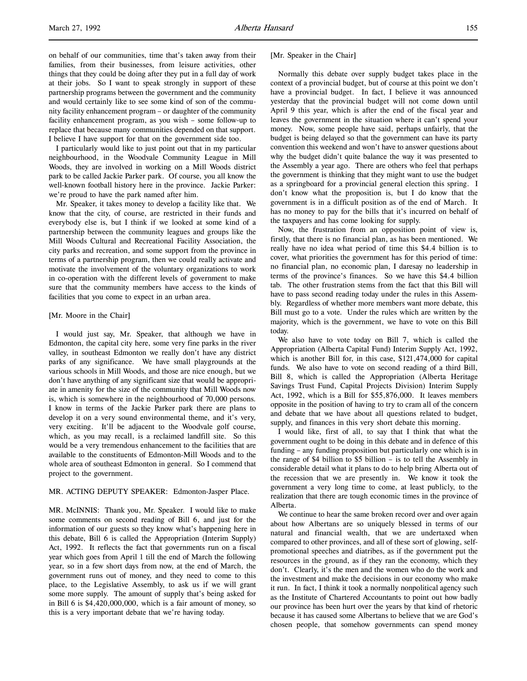on behalf of our communities, time that's taken away from their families, from their businesses, from leisure activities, other things that they could be doing after they put in a full day of work at their jobs. So I want to speak strongly in support of these partnership programs between the government and the community and would certainly like to see some kind of son of the community facility enhancement program – or daughter of the community facility enhancement program, as you wish – some follow-up to replace that because many communities depended on that support. I believe I have support for that on the government side too.

I particularly would like to just point out that in my particular neighbourhood, in the Woodvale Community League in Mill Woods, they are involved in working on a Mill Woods district park to be called Jackie Parker park. Of course, you all know the well-known football history here in the province. Jackie Parker: we're proud to have the park named after him.

Mr. Speaker, it takes money to develop a facility like that. We know that the city, of course, are restricted in their funds and everybody else is, but I think if we looked at some kind of a partnership between the community leagues and groups like the Mill Woods Cultural and Recreational Facility Association, the city parks and recreation, and some support from the province in terms of a partnership program, then we could really activate and motivate the involvement of the voluntary organizations to work in co-operation with the different levels of government to make sure that the community members have access to the kinds of facilities that you come to expect in an urban area.

### [Mr. Moore in the Chair]

I would just say, Mr. Speaker, that although we have in Edmonton, the capital city here, some very fine parks in the river valley, in southeast Edmonton we really don't have any district parks of any significance. We have small playgrounds at the various schools in Mill Woods, and those are nice enough, but we don't have anything of any significant size that would be appropriate in amenity for the size of the community that Mill Woods now is, which is somewhere in the neighbourhood of 70,000 persons. I know in terms of the Jackie Parker park there are plans to develop it on a very sound environmental theme, and it's very, very exciting. It'll be adjacent to the Woodvale golf course, which, as you may recall, is a reclaimed landfill site. So this would be a very tremendous enhancement to the facilities that are available to the constituents of Edmonton-Mill Woods and to the whole area of southeast Edmonton in general. So I commend that project to the government.

### MR. ACTING DEPUTY SPEAKER: Edmonton-Jasper Place.

MR. McINNIS: Thank you, Mr. Speaker. I would like to make some comments on second reading of Bill 6, and just for the information of our guests so they know what's happening here in this debate, Bill 6 is called the Appropriation (Interim Supply) Act, 1992. It reflects the fact that governments run on a fiscal year which goes from April 1 till the end of March the following year, so in a few short days from now, at the end of March, the government runs out of money, and they need to come to this place, to the Legislative Assembly, to ask us if we will grant some more supply. The amount of supply that's being asked for in Bill 6 is \$4,420,000,000, which is a fair amount of money, so this is a very important debate that we're having today.

[Mr. Speaker in the Chair]

Normally this debate over supply budget takes place in the context of a provincial budget, but of course at this point we don't have a provincial budget. In fact, I believe it was announced yesterday that the provincial budget will not come down until April 9 this year, which is after the end of the fiscal year and leaves the government in the situation where it can't spend your money. Now, some people have said, perhaps unfairly, that the budget is being delayed so that the government can have its party convention this weekend and won't have to answer questions about why the budget didn't quite balance the way it was presented to the Assembly a year ago. There are others who feel that perhaps the government is thinking that they might want to use the budget as a springboard for a provincial general election this spring. I don't know what the proposition is, but I do know that the government is in a difficult position as of the end of March. It has no money to pay for the bills that it's incurred on behalf of the taxpayers and has come looking for supply.

Now, the frustration from an opposition point of view is, firstly, that there is no financial plan, as has been mentioned. We really have no idea what period of time this \$4.4 billion is to cover, what priorities the government has for this period of time: no financial plan, no economic plan, I daresay no leadership in terms of the province's finances. So we have this \$4.4 billion tab. The other frustration stems from the fact that this Bill will have to pass second reading today under the rules in this Assembly. Regardless of whether more members want more debate, this Bill must go to a vote. Under the rules which are written by the majority, which is the government, we have to vote on this Bill today.

We also have to vote today on Bill 7, which is called the Appropriation (Alberta Capital Fund) Interim Supply Act, 1992, which is another Bill for, in this case, \$121,474,000 for capital funds. We also have to vote on second reading of a third Bill, Bill 8, which is called the Appropriation (Alberta Heritage Savings Trust Fund, Capital Projects Division) Interim Supply Act, 1992, which is a Bill for \$55,876,000. It leaves members opposite in the position of having to try to cram all of the concern and debate that we have about all questions related to budget, supply, and finances in this very short debate this morning.

I would like, first of all, to say that I think that what the government ought to be doing in this debate and in defence of this funding – any funding proposition but particularly one which is in the range of \$4 billion to \$5 billion – is to tell the Assembly in considerable detail what it plans to do to help bring Alberta out of the recession that we are presently in. We know it took the government a very long time to come, at least publicly, to the realization that there are tough economic times in the province of Alberta.

We continue to hear the same broken record over and over again about how Albertans are so uniquely blessed in terms of our natural and financial wealth, that we are undertaxed when compared to other provinces, and all of these sort of glowing, selfpromotional speeches and diatribes, as if the government put the resources in the ground, as if they ran the economy, which they don't. Clearly, it's the men and the women who do the work and the investment and make the decisions in our economy who make it run. In fact, I think it took a normally nonpolitical agency such as the Institute of Chartered Accountants to point out how badly our province has been hurt over the years by that kind of rhetoric because it has caused some Albertans to believe that we are God's chosen people, that somehow governments can spend money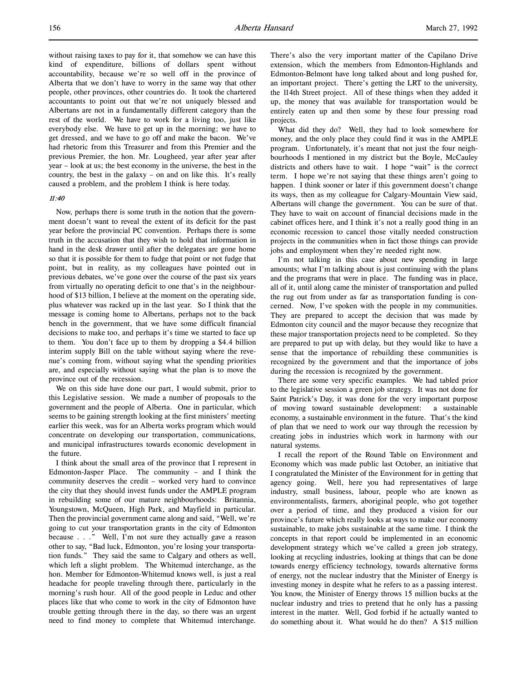without raising taxes to pay for it, that somehow we can have this kind of expenditure, billions of dollars spent without accountability, because we're so well off in the province of Alberta that we don't have to worry in the same way that other people, other provinces, other countries do. It took the chartered accountants to point out that we're not uniquely blessed and Albertans are not in a fundamentally different category than the rest of the world. We have to work for a living too, just like everybody else. We have to get up in the morning; we have to get dressed, and we have to go off and make the bacon. We've had rhetoric from this Treasurer and from this Premier and the previous Premier, the hon. Mr. Lougheed, year after year after year – look at us; the best economy in the universe, the best in the country, the best in the galaxy – on and on like this. It's really caused a problem, and the problem I think is here today.

### 11:40

Now, perhaps there is some truth in the notion that the government doesn't want to reveal the extent of its deficit for the past year before the provincial PC convention. Perhaps there is some truth in the accusation that they wish to hold that information in hand in the desk drawer until after the delegates are gone home so that it is possible for them to fudge that point or not fudge that point, but in reality, as my colleagues have pointed out in previous debates, we've gone over the course of the past six years from virtually no operating deficit to one that's in the neighbourhood of \$13 billion, I believe at the moment on the operating side, plus whatever was racked up in the last year. So I think that the message is coming home to Albertans, perhaps not to the back bench in the government, that we have some difficult financial decisions to make too, and perhaps it's time we started to face up to them. You don't face up to them by dropping a \$4.4 billion interim supply Bill on the table without saying where the revenue's coming from, without saying what the spending priorities are, and especially without saying what the plan is to move the province out of the recession.

We on this side have done our part, I would submit, prior to this Legislative session. We made a number of proposals to the government and the people of Alberta. One in particular, which seems to be gaining strength looking at the first ministers' meeting earlier this week, was for an Alberta works program which would concentrate on developing our transportation, communications, and municipal infrastructures towards economic development in the future.

I think about the small area of the province that I represent in Edmonton-Jasper Place. The community – and I think the community deserves the credit – worked very hard to convince the city that they should invest funds under the AMPLE program in rebuilding some of our mature neighbourhoods: Britannia, Youngstown, McQueen, High Park, and Mayfield in particular. Then the provincial government came along and said, "Well, we're going to cut your transportation grants in the city of Edmonton because . . ." Well, I'm not sure they actually gave a reason other to say, "Bad luck, Edmonton, you're losing your transportation funds." They said the same to Calgary and others as well, which left a slight problem. The Whitemud interchange, as the hon. Member for Edmonton-Whitemud knows well, is just a real headache for people traveling through there, particularly in the morning's rush hour. All of the good people in Leduc and other places like that who come to work in the city of Edmonton have trouble getting through there in the day, so there was an urgent need to find money to complete that Whitemud interchange.

There's also the very important matter of the Capilano Drive extension, which the members from Edmonton-Highlands and Edmonton-Belmont have long talked about and long pushed for, an important project. There's getting the LRT to the university, the 114th Street project. All of these things when they added it up, the money that was available for transportation would be entirely eaten up and then some by these four pressing road projects.

What did they do? Well, they had to look somewhere for money, and the only place they could find it was in the AMPLE program. Unfortunately, it's meant that not just the four neighbourhoods I mentioned in my district but the Boyle, McCauley districts and others have to wait. I hope "wait" is the correct term. I hope we're not saying that these things aren't going to happen. I think sooner or later if this government doesn't change its ways, then as my colleague for Calgary-Mountain View said, Albertans will change the government. You can be sure of that. They have to wait on account of financial decisions made in the cabinet offices here, and I think it's not a really good thing in an economic recession to cancel those vitally needed construction projects in the communities when in fact those things can provide jobs and employment when they're needed right now.

I'm not talking in this case about new spending in large amounts; what I'm talking about is just continuing with the plans and the programs that were in place. The funding was in place, all of it, until along came the minister of transportation and pulled the rug out from under as far as transportation funding is concerned. Now, I've spoken with the people in my communities. They are prepared to accept the decision that was made by Edmonton city council and the mayor because they recognize that these major transportation projects need to be completed. So they are prepared to put up with delay, but they would like to have a sense that the importance of rebuilding these communities is recognized by the government and that the importance of jobs during the recession is recognized by the government.

There are some very specific examples. We had tabled prior to the legislative session a green job strategy. It was not done for Saint Patrick's Day, it was done for the very important purpose of moving toward sustainable development: a sustainable economy, a sustainable environment in the future. That's the kind of plan that we need to work our way through the recession by creating jobs in industries which work in harmony with our natural systems.

I recall the report of the Round Table on Environment and Economy which was made public last October, an initiative that I congratulated the Minister of the Environment for in getting that agency going. Well, here you had representatives of large industry, small business, labour, people who are known as environmentalists, farmers, aboriginal people, who got together over a period of time, and they produced a vision for our province's future which really looks at ways to make our economy sustainable, to make jobs sustainable at the same time. I think the concepts in that report could be implemented in an economic development strategy which we've called a green job strategy, looking at recycling industries, looking at things that can be done towards energy efficiency technology, towards alternative forms of energy, not the nuclear industry that the Minister of Energy is investing money in despite what he refers to as a passing interest. You know, the Minister of Energy throws 15 million bucks at the nuclear industry and tries to pretend that he only has a passing interest in the matter. Well, God forbid if he actually wanted to do something about it. What would he do then? A \$15 million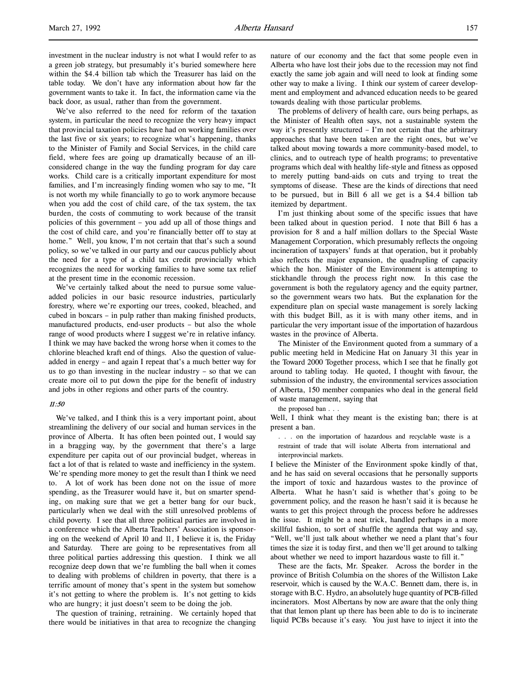l,

investment in the nuclear industry is not what I would refer to as a green job strategy, but presumably it's buried somewhere here within the \$4.4 billion tab which the Treasurer has laid on the table today. We don't have any information about how far the government wants to take it. In fact, the information came via the back door, as usual, rather than from the government.

We've also referred to the need for reform of the taxation system, in particular the need to recognize the very heavy impact that provincial taxation policies have had on working families over the last five or six years; to recognize what's happening, thanks to the Minister of Family and Social Services, in the child care field, where fees are going up dramatically because of an illconsidered change in the way the funding program for day care works. Child care is a critically important expenditure for most families, and I'm increasingly finding women who say to me, "It is not worth my while financially to go to work anymore because when you add the cost of child care, of the tax system, the tax burden, the costs of commuting to work because of the transit policies of this government – you add up all of those things and the cost of child care, and you're financially better off to stay at home." Well, you know, I'm not certain that that's such a sound policy, so we've talked in our party and our caucus publicly about the need for a type of a child tax credit provincially which recognizes the need for working families to have some tax relief at the present time in the economic recession.

We've certainly talked about the need to pursue some valueadded policies in our basic resource industries, particularly forestry, where we're exporting our trees, cooked, bleached, and cubed in boxcars – in pulp rather than making finished products, manufactured products, end-user products – but also the whole range of wood products where I suggest we're in relative infancy. I think we may have backed the wrong horse when it comes to the chlorine bleached kraft end of things. Also the question of valueadded in energy – and again I repeat that's a much better way for us to go than investing in the nuclear industry – so that we can create more oil to put down the pipe for the benefit of industry and jobs in other regions and other parts of the country.

### 11:50

We've talked, and I think this is a very important point, about streamlining the delivery of our social and human services in the province of Alberta. It has often been pointed out, I would say in a bragging way, by the government that there's a large expenditure per capita out of our provincial budget, whereas in fact a lot of that is related to waste and inefficiency in the system. We're spending more money to get the result than I think we need to. A lot of work has been done not on the issue of more spending, as the Treasurer would have it, but on smarter spending, on making sure that we get a better bang for our buck, particularly when we deal with the still unresolved problems of child poverty. I see that all three political parties are involved in a conference which the Alberta Teachers' Association is sponsoring on the weekend of April 10 and 11, I believe it is, the Friday and Saturday. There are going to be representatives from all three political parties addressing this question. I think we all recognize deep down that we're fumbling the ball when it comes to dealing with problems of children in poverty, that there is a terrific amount of money that's spent in the system but somehow it's not getting to where the problem is. It's not getting to kids who are hungry; it just doesn't seem to be doing the job.

The question of training, retraining. We certainly hoped that there would be initiatives in that area to recognize the changing

nature of our economy and the fact that some people even in Alberta who have lost their jobs due to the recession may not find exactly the same job again and will need to look at finding some other way to make a living. I think our system of career development and employment and advanced education needs to be geared towards dealing with those particular problems.

The problems of delivery of health care, ours being perhaps, as the Minister of Health often says, not a sustainable system the way it's presently structured – I'm not certain that the arbitrary approaches that have been taken are the right ones, but we've talked about moving towards a more community-based model, to clinics, and to outreach type of health programs; to preventative programs which deal with healthy life-style and fitness as opposed to merely putting band-aids on cuts and trying to treat the symptoms of disease. These are the kinds of directions that need to be pursued, but in Bill 6 all we get is a \$4.4 billion tab itemized by department.

I'm just thinking about some of the specific issues that have been talked about in question period. I note that Bill 6 has a provision for 8 and a half million dollars to the Special Waste Management Corporation, which presumably reflects the ongoing incineration of taxpayers' funds at that operation, but it probably also reflects the major expansion, the quadrupling of capacity which the hon. Minister of the Environment is attempting to stickhandle through the process right now. In this case the government is both the regulatory agency and the equity partner, so the government wears two hats. But the explanation for the expenditure plan on special waste management is sorely lacking with this budget Bill, as it is with many other items, and in particular the very important issue of the importation of hazardous wastes in the province of Alberta.

The Minister of the Environment quoted from a summary of a public meeting held in Medicine Hat on January 31 this year in the Toward 2000 Together process, which I see that he finally got around to tabling today. He quoted, I thought with favour, the submission of the industry, the environmental services association of Alberta, 150 member companies who deal in the general field of waste management, saying that

the proposed ban . . .

Well, I think what they meant is the existing ban; there is at present a ban.

. . . on the importation of hazardous and recyclable waste is a restraint of trade that will isolate Alberta from international and interprovincial markets.

I believe the Minister of the Environment spoke kindly of that, and he has said on several occasions that he personally supports the import of toxic and hazardous wastes to the province of Alberta. What he hasn't said is whether that's going to be government policy, and the reason he hasn't said it is because he wants to get this project through the process before he addresses the issue. It might be a neat trick, handled perhaps in a more skillful fashion, to sort of shuffle the agenda that way and say, "Well, we'll just talk about whether we need a plant that's four times the size it is today first, and then we'll get around to talking about whether we need to import hazardous waste to fill it."

These are the facts, Mr. Speaker. Across the border in the province of British Columbia on the shores of the Williston Lake reservoir, which is caused by the W.A.C. Bennett dam, there is, in storage with B.C. Hydro, an absolutely huge quantity of PCB-filled incinerators. Most Albertans by now are aware that the only thing that that lemon plant up there has been able to do is to incinerate liquid PCBs because it's easy. You just have to inject it into the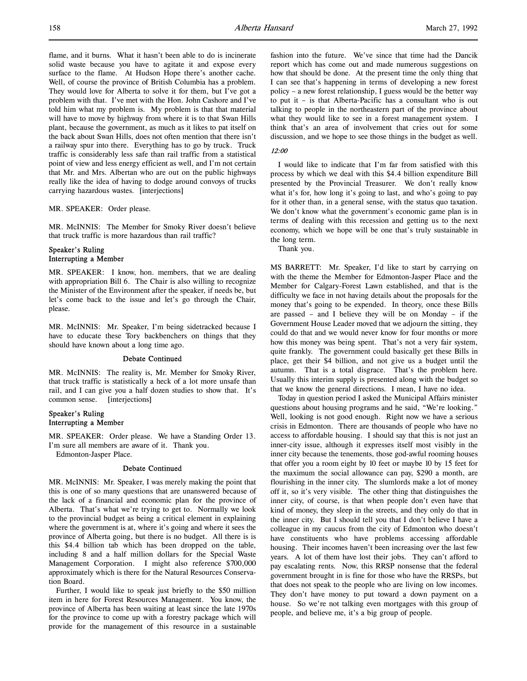flame, and it burns. What it hasn't been able to do is incinerate solid waste because you have to agitate it and expose every surface to the flame. At Hudson Hope there's another cache. Well, of course the province of British Columbia has a problem. They would love for Alberta to solve it for them, but I've got a problem with that. I've met with the Hon. John Cashore and I've told him what my problem is. My problem is that that material will have to move by highway from where it is to that Swan Hills plant, because the government, as much as it likes to pat itself on the back about Swan Hills, does not often mention that there isn't a railway spur into there. Everything has to go by truck. Truck traffic is considerably less safe than rail traffic from a statistical point of view and less energy efficient as well, and I'm not certain that Mr. and Mrs. Albertan who are out on the public highways really like the idea of having to dodge around convoys of trucks carrying hazardous wastes. [interjections]

MR. SPEAKER: Order please.

MR. McINNIS: The Member for Smoky River doesn't believe that truck traffic is more hazardous than rail traffic?

## Speaker's Ruling Interrupting a Member

MR. SPEAKER: I know, hon. members, that we are dealing with appropriation Bill 6. The Chair is also willing to recognize the Minister of the Environment after the speaker, if needs be, but let's come back to the issue and let's go through the Chair, please.

MR. McINNIS: Mr. Speaker, I'm being sidetracked because I have to educate these Tory backbenchers on things that they should have known about a long time ago.

### Debate Continued

MR. McINNIS: The reality is, Mr. Member for Smoky River, that truck traffic is statistically a heck of a lot more unsafe than rail, and I can give you a half dozen studies to show that. It's common sense. [interjections]

## Speaker's Ruling Interrupting a Member

MR. SPEAKER: Order please. We have a Standing Order 13. I'm sure all members are aware of it. Thank you.

Edmonton-Jasper Place.

## Debate Continued

MR. McINNIS: Mr. Speaker, I was merely making the point that this is one of so many questions that are unanswered because of the lack of a financial and economic plan for the province of Alberta. That's what we're trying to get to. Normally we look to the provincial budget as being a critical element in explaining where the government is at, where it's going and where it sees the province of Alberta going, but there is no budget. All there is is this \$4.4 billion tab which has been dropped on the table, including 8 and a half million dollars for the Special Waste Management Corporation. I might also reference \$700,000 approximately which is there for the Natural Resources Conservation Board.

Further, I would like to speak just briefly to the \$50 million item in here for Forest Resources Management. You know, the province of Alberta has been waiting at least since the late 1970s for the province to come up with a forestry package which will provide for the management of this resource in a sustainable

fashion into the future. We've since that time had the Dancik report which has come out and made numerous suggestions on how that should be done. At the present time the only thing that I can see that's happening in terms of developing a new forest policy – a new forest relationship, I guess would be the better way to put it – is that Alberta-Pacific has a consultant who is out talking to people in the northeastern part of the province about what they would like to see in a forest management system. I think that's an area of involvement that cries out for some discussion, and we hope to see those things in the budget as well.

## 12:00

I would like to indicate that I'm far from satisfied with this process by which we deal with this \$4.4 billion expenditure Bill presented by the Provincial Treasurer. We don't really know what it's for, how long it's going to last, and who's going to pay for it other than, in a general sense, with the status quo taxation. We don't know what the government's economic game plan is in terms of dealing with this recession and getting us to the next economy, which we hope will be one that's truly sustainable in the long term.

Thank you.

MS BARRETT: Mr. Speaker, I'd like to start by carrying on with the theme the Member for Edmonton-Jasper Place and the Member for Calgary-Forest Lawn established, and that is the difficulty we face in not having details about the proposals for the money that's going to be expended. In theory, once these Bills are passed – and I believe they will be on Monday – if the Government House Leader moved that we adjourn the sitting, they could do that and we would never know for four months or more how this money was being spent. That's not a very fair system, quite frankly. The government could basically get these Bills in place, get their \$4 billion, and not give us a budget until the autumn. That is a total disgrace. That's the problem here. Usually this interim supply is presented along with the budget so that we know the general directions. I mean, I have no idea.

Today in question period I asked the Municipal Affairs minister questions about housing programs and he said, "We're looking." Well, looking is not good enough. Right now we have a serious crisis in Edmonton. There are thousands of people who have no access to affordable housing. I should say that this is not just an inner-city issue, although it expresses itself most visibly in the inner city because the tenements, those god-awful rooming houses that offer you a room eight by 10 feet or maybe 10 by 15 feet for the maximum the social allowance can pay, \$290 a month, are flourishing in the inner city. The slumlords make a lot of money off it, so it's very visible. The other thing that distinguishes the inner city, of course, is that when people don't even have that kind of money, they sleep in the streets, and they only do that in the inner city. But I should tell you that I don't believe I have a colleague in my caucus from the city of Edmonton who doesn't have constituents who have problems accessing affordable housing. Their incomes haven't been increasing over the last few years. A lot of them have lost their jobs. They can't afford to pay escalating rents. Now, this RRSP nonsense that the federal government brought in is fine for those who have the RRSPs, but that does not speak to the people who are living on low incomes. They don't have money to put toward a down payment on a house. So we're not talking even mortgages with this group of people, and believe me, it's a big group of people.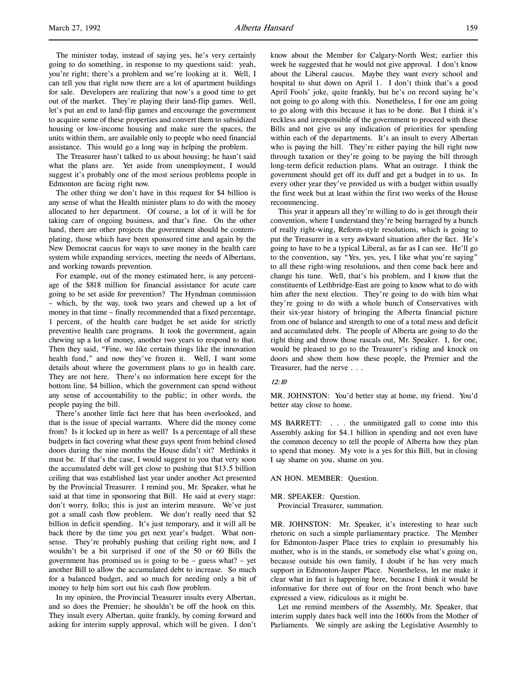The minister today, instead of saying yes, he's very certainly going to do something, in response to my questions said: yeah, you're right; there's a problem and we're looking at it. Well, I can tell you that right now there are a lot of apartment buildings for sale. Developers are realizing that now's a good time to get out of the market. They're playing their land-flip games. Well, let's put an end to land-flip games and encourage the government to acquire some of these properties and convert them to subsidized housing or low-income housing and make sure the spaces, the units within them, are available only to people who need financial assistance. This would go a long way in helping the problem.

The Treasurer hasn't talked to us about housing; he hasn't said what the plans are. Yet aside from unemployment, I would suggest it's probably one of the most serious problems people in Edmonton are facing right now.

The other thing we don't have in this request for \$4 billion is any sense of what the Health minister plans to do with the money allocated to her department. Of course, a lot of it will be for taking care of ongoing business, and that's fine. On the other hand, there are other projects the government should be contemplating, those which have been sponsored time and again by the New Democrat caucus for ways to save money in the health care system while expanding services, meeting the needs of Albertans, and working towards prevention.

For example, out of the money estimated here, is any percentage of the \$818 million for financial assistance for acute care going to be set aside for prevention? The Hyndman commission – which, by the way, took two years and chewed up a lot of money in that time – finally recommended that a fixed percentage, 1 percent, of the health care budget be set aside for strictly preventive health care programs. It took the government, again chewing up a lot of money, another two years to respond to that. Then they said, "Fine, we like certain things like the innovation health fund," and now they've frozen it. Well, I want some details about where the government plans to go in health care. They are not here. There's no information here except for the bottom line, \$4 billion, which the government can spend without any sense of accountability to the public; in other words, the people paying the bill.

There's another little fact here that has been overlooked, and that is the issue of special warrants. Where did the money come from? Is it locked up in here as well? Is a percentage of all these budgets in fact covering what these guys spent from behind closed doors during the nine months the House didn't sit? Methinks it must be. If that's the case, I would suggest to you that very soon the accumulated debt will get close to pushing that \$13.5 billion ceiling that was established last year under another Act presented by the Provincial Treasurer. I remind you, Mr. Speaker, what he said at that time in sponsoring that Bill. He said at every stage: don't worry, folks; this is just an interim measure. We've just got a small cash flow problem. We don't really need that \$2 billion in deficit spending. It's just temporary, and it will all be back there by the time you get next year's budget. What nonsense. They're probably pushing that ceiling right now, and I wouldn't be a bit surprised if one of the 50 or 60 Bills the government has promised us is going to be – guess what? – yet another Bill to allow the accumulated debt to increase. So much for a balanced budget, and so much for needing only a bit of money to help him sort out his cash flow problem.

In my opinion, the Provincial Treasurer insults every Albertan, and so does the Premier; he shouldn't be off the hook on this. They insult every Albertan, quite frankly, by coming forward and asking for interim supply approval, which will be given. I don't know about the Member for Calgary-North West; earlier this week he suggested that he would not give approval. I don't know about the Liberal caucus. Maybe they want every school and hospital to shut down on April 1. I don't think that's a good April Fools' joke, quite frankly, but he's on record saying he's not going to go along with this. Nonetheless, I for one am going to go along with this because it has to be done. But I think it's reckless and irresponsible of the government to proceed with these Bills and not give us any indication of priorities for spending within each of the departments. It's an insult to every Albertan who is paying the bill. They're either paying the bill right now through taxation or they're going to be paying the bill through long-term deficit reduction plans. What an outrage. I think the government should get off its duff and get a budget in to us. In every other year they've provided us with a budget within usually the first week but at least within the first two weeks of the House recommencing.

This year it appears all they're willing to do is get through their convention, where I understand they're being barraged by a bunch of really right-wing, Reform-style resolutions, which is going to put the Treasurer in a very awkward situation after the fact. He's going to have to be a typical Liberal, as far as I can see. He'll go to the convention, say "Yes, yes, yes, I like what you're saying" to all these right-wing resolutions, and then come back here and change his tune. Well, that's his problem, and I know that the constituents of Lethbridge-East are going to know what to do with him after the next election. They're going to do with him what they're going to do with a whole bunch of Conservatives with their six-year history of bringing the Alberta financial picture from one of balance and strength to one of a total mess and deficit and accumulated debt. The people of Alberta are going to do the right thing and throw those rascals out, Mr. Speaker. I, for one, would be pleased to go to the Treasurer's riding and knock on doors and show them how these people, the Premier and the Treasurer, had the nerve . . .

## 12:10

MR. JOHNSTON: You'd better stay at home, my friend. You'd better stay close to home.

MS BARRETT: . . . the unmitigated gall to come into this Assembly asking for \$4.1 billion in spending and not even have the common decency to tell the people of Alberta how they plan to spend that money. My vote is a yes for this Bill, but in closing I say shame on you, shame on you.

AN HON. MEMBER: Question.

### MR. SPEAKER: Question.

Provincial Treasurer, summation.

MR. JOHNSTON: Mr. Speaker, it's interesting to hear such rhetoric on such a simple parliamentary practice. The Member for Edmonton-Jasper Place tries to explain to presumably his mother, who is in the stands, or somebody else what's going on, because outside his own family, I doubt if he has very much support in Edmonton-Jasper Place. Nonetheless, let me make it clear what in fact is happening here, because I think it would be informative for three out of four on the front bench who have expressed a view, ridiculous as it might be.

Let me remind members of the Assembly, Mr. Speaker, that interim supply dates back well into the 1600s from the Mother of Parliaments. We simply are asking the Legislative Assembly to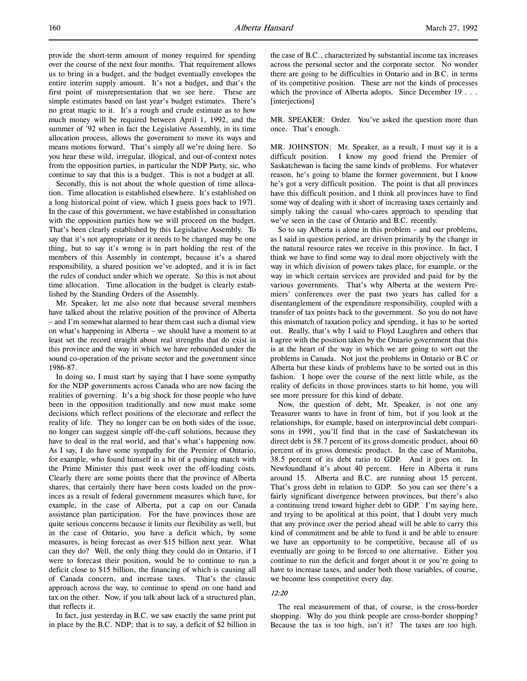provide the short-term amount of money required for spending over the course of the next four months. That requirement allows us to bring in a budget, and the budget eventually envelopes the entire interim supply amount. It's not a budget, and that's the first point of misrepresentation that we see here. These are simple estimates based on last year's budget estimates. There's no great magic to it. It's a rough and crude estimate as to how much money will be required between April 1, 1992, and the summer of '92 when in fact the Legislative Assembly, in its time allocation process, allows the government to move its ways and means motions forward. That's simply all we're doing here. So you hear these wild, irregular, illogical, and out-of-context notes from the opposition parties, in particular the NDP Party, sic, who continue to say that this is a budget. This is not a budget at all.

Secondly, this is not about the whole question of time allocation. Time allocation is established elsewhere. It's established on a long historical point of view, which I guess goes back to 1971. In the case of this government, we have established in consultation with the opposition parties how we will proceed on the budget. That's been clearly established by this Legislative Assembly. To say that it's not appropriate or it needs to be changed may be one thing, but to say it's wrong is in part holding the rest of the members of this Assembly in contempt, because it's a shared responsibility, a shared position we've adopted, and it is in fact the rules of conduct under which we operate. So this is not about time allocation. Time allocation in the budget is clearly established by the Standing Orders of the Assembly.

Mr. Speaker, let me also note that because several members have talked about the relative position of the province of Alberta – and I'm somewhat alarmed to hear them cast such a dismal view on what's happening in Alberta – we should have a moment to at least set the record straight about real strengths that do exist in this province and the way in which we have rebounded under the sound co-operation of the private sector and the government since 1986-87.

In doing so, I must start by saying that I have some sympathy for the NDP governments across Canada who are now facing the realities of governing. It's a big shock for those people who have been in the opposition traditionally and now must make some decisions which reflect positions of the electorate and reflect the reality of life. They no longer can be on both sides of the issue, no longer can suggest simple off-the-cuff solutions, because they have to deal in the real world, and that's what's happening now. As I say, I do have some sympathy for the Premier of Ontario, for example, who found himself in a bit of a pushing match with the Prime Minister this past week over the off-loading costs. Clearly there are some points there that the province of Alberta shares, that certainly there have been costs loaded on the provinces as a result of federal government measures which have, for example, in the case of Alberta, put a cap on our Canada assistance plan participation. For the have provinces those are quite serious concerns because it limits our flexibility as well, but in the case of Ontario, you have a deficit which, by some measures, is being forecast as over \$15 billion next year. What can they do? Well, the only thing they could do in Ontario, if I were to forecast their position, would be to continue to run a deficit close to \$15 billion, the financing of which is causing all of Canada concern, and increase taxes. That's the classic approach across the way, to continue to spend on one hand and tax on the other. Now, if you talk about lack of a structured plan, that reflects it.

In fact, just yesterday in B.C. we saw exactly the same print put in place by the B.C. NDP; that is to say, a deficit of \$2 billion in

the case of B.C., characterized by substantial income tax increases across the personal sector and the corporate sector. No wonder there are going to be difficulties in Ontario and in B.C. in terms of its competitive position. These are not the kinds of processes which the province of Alberta adopts. Since December 19 . . . [interjections]

MR. SPEAKER: Order. You've asked the question more than once. That's enough.

MR. JOHNSTON: Mr. Speaker, as a result, I must say it is a difficult position. I know my good friend the Premier of Saskatchewan is facing the same kinds of problems. For whatever reason, he's going to blame the former government, but I know he's got a very difficult position. The point is that all provinces have this difficult position, and I think all provinces have to find some way of dealing with it short of increasing taxes certainly and simply taking the casual who-cares approach to spending that we've seen in the case of Ontario and B.C. recently.

So to say Alberta is alone in this problem – and our problems, as I said in question period, are driven primarily by the change in the natural resource rates we receive in this province. In fact, I think we have to find some way to deal more objectively with the way in which division of powers takes place, for example, or the way in which certain services are provided and paid for by the various governments. That's why Alberta at the western Premiers' conferences over the past two years has called for a disentanglement of the expenditure responsibility, coupled with a transfer of tax points back to the government. So you do not have this mismatch of taxation policy and spending, it has to be sorted out. Really, that's why I said to Floyd Laughren and others that I agree with the position taken by the Ontario government that this is at the heart of the way in which we are going to sort out the problems in Canada. Not just the problems in Ontario or B.C or Alberta but these kinds of problems have to be sorted out in this fashion. I hope over the course of the next little while, as the reality of deficits in those provinces starts to hit home, you will see more pressure for this kind of debate.

Now, the question of debt, Mr. Speaker, is not one any Treasurer wants to have in front of him, but if you look at the relationships, for example, based on interprovincial debt comparisons in 1991, you'll find that in the case of Saskatchewan its direct debt is 58.7 percent of its gross domestic product, about 60 percent of its gross domestic product. In the case of Manitoba, 38.5 percent of its debt ratio to GDP. And it goes on. In Newfoundland it's about 40 percent. Here in Alberta it runs around 15. Alberta and B.C. are running about 15 percent. That's gross debt in relation to GDP. So you can see there's a fairly significant divergence between provinces, but there's also a continuing trend toward higher debt to GDP. I'm saying here, and trying to be apolitical at this point, that I doubt very much that any province over the period ahead will be able to carry this kind of commitment and be able to fund it and be able to ensure we have an opportunity to be competitive, because all of us eventually are going to be forced to one alternative. Either you continue to run the deficit and forget about it or you're going to have to increase taxes, and under both those variables, of course, we become less competitive every day.

### 12:20

The real measurement of that, of course, is the cross-border shopping. Why do you think people are cross-border shopping? Because the tax is too high, isn't it? The taxes are too high.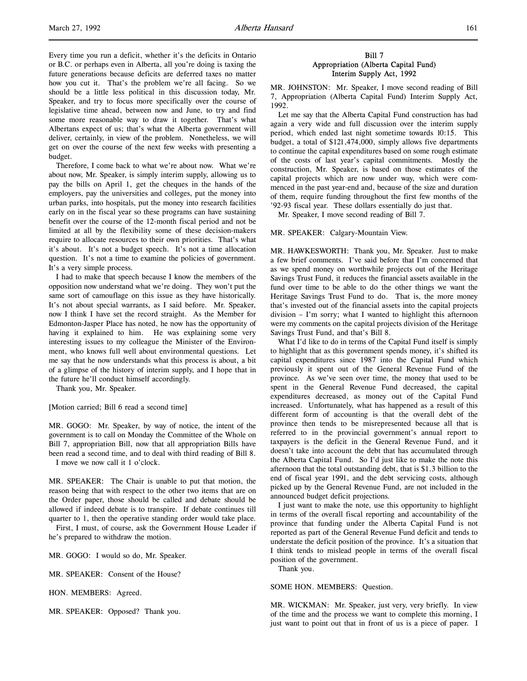Every time you run a deficit, whether it's the deficits in Ontario or B.C. or perhaps even in Alberta, all you're doing is taxing the future generations because deficits are deferred taxes no matter how you cut it. That's the problem we're all facing. So we should be a little less political in this discussion today, Mr. Speaker, and try to focus more specifically over the course of legislative time ahead, between now and June, to try and find some more reasonable way to draw it together. That's what Albertans expect of us; that's what the Alberta government will deliver, certainly, in view of the problem. Nonetheless, we will get on over the course of the next few weeks with presenting a budget.

Therefore, I come back to what we're about now. What we're about now, Mr. Speaker, is simply interim supply, allowing us to pay the bills on April 1, get the cheques in the hands of the employers, pay the universities and colleges, put the money into urban parks, into hospitals, put the money into research facilities early on in the fiscal year so these programs can have sustaining benefit over the course of the 12-month fiscal period and not be limited at all by the flexibility some of these decision-makers require to allocate resources to their own priorities. That's what it's about. It's not a budget speech. It's not a time allocation question. It's not a time to examine the policies of government. It's a very simple process.

I had to make that speech because I know the members of the opposition now understand what we're doing. They won't put the same sort of camouflage on this issue as they have historically. It's not about special warrants, as I said before. Mr. Speaker, now I think I have set the record straight. As the Member for Edmonton-Jasper Place has noted, he now has the opportunity of having it explained to him. He was explaining some very interesting issues to my colleague the Minister of the Environment, who knows full well about environmental questions. Let me say that he now understands what this process is about, a bit of a glimpse of the history of interim supply, and I hope that in the future he'll conduct himself accordingly.

Thank you, Mr. Speaker.

[Motion carried; Bill 6 read a second time]

MR. GOGO: Mr. Speaker, by way of notice, the intent of the government is to call on Monday the Committee of the Whole on Bill 7, appropriation Bill, now that all appropriation Bills have been read a second time, and to deal with third reading of Bill 8.

I move we now call it 1 o'clock.

MR. SPEAKER: The Chair is unable to put that motion, the reason being that with respect to the other two items that are on the Order paper, those should be called and debate should be allowed if indeed debate is to transpire. If debate continues till quarter to 1, then the operative standing order would take place.

First, I must, of course, ask the Government House Leader if he's prepared to withdraw the motion.

MR. GOGO: I would so do, Mr. Speaker.

MR. SPEAKER: Consent of the House?

HON. MEMBERS: Agreed.

MR. SPEAKER: Opposed? Thank you.

## Bill 7 Appropriation (Alberta Capital Fund) Interim Supply Act, 1992

MR. JOHNSTON: Mr. Speaker, I move second reading of Bill 7, Appropriation (Alberta Capital Fund) Interim Supply Act, 1992.

Let me say that the Alberta Capital Fund construction has had again a very wide and full discussion over the interim supply period, which ended last night sometime towards 10:15. This budget, a total of \$121,474,000, simply allows five departments to continue the capital expenditures based on some rough estimate of the costs of last year's capital commitments. Mostly the construction, Mr. Speaker, is based on those estimates of the capital projects which are now under way, which were commenced in the past year-end and, because of the size and duration of them, require funding throughout the first few months of the '92-93 fiscal year. These dollars essentially do just that.

Mr. Speaker, I move second reading of Bill 7.

MR. SPEAKER: Calgary-Mountain View.

MR. HAWKESWORTH: Thank you, Mr. Speaker. Just to make a few brief comments. I've said before that I'm concerned that as we spend money on worthwhile projects out of the Heritage Savings Trust Fund, it reduces the financial assets available in the fund over time to be able to do the other things we want the Heritage Savings Trust Fund to do. That is, the more money that's invested out of the financial assets into the capital projects division – I'm sorry; what I wanted to highlight this afternoon were my comments on the capital projects division of the Heritage Savings Trust Fund, and that's Bill 8.

What I'd like to do in terms of the Capital Fund itself is simply to highlight that as this government spends money, it's shifted its capital expenditures since 1987 into the Capital Fund which previously it spent out of the General Revenue Fund of the province. As we've seen over time, the money that used to be spent in the General Revenue Fund decreased, the capital expenditures decreased, as money out of the Capital Fund increased. Unfortunately, what has happened as a result of this different form of accounting is that the overall debt of the province then tends to be misrepresented because all that is referred to in the provincial government's annual report to taxpayers is the deficit in the General Revenue Fund, and it doesn't take into account the debt that has accumulated through the Alberta Capital Fund. So I'd just like to make the note this afternoon that the total outstanding debt, that is \$1.3 billion to the end of fiscal year 1991, and the debt servicing costs, although picked up by the General Revenue Fund, are not included in the announced budget deficit projections.

I just want to make the note, use this opportunity to highlight in terms of the overall fiscal reporting and accountability of the province that funding under the Alberta Capital Fund is not reported as part of the General Revenue Fund deficit and tends to understate the deficit position of the province. It's a situation that I think tends to mislead people in terms of the overall fiscal position of the government.

Thank you.

### SOME HON. MEMBERS: Question.

MR. WICKMAN: Mr. Speaker, just very, very briefly. In view of the time and the process we want to complete this morning, I just want to point out that in front of us is a piece of paper. I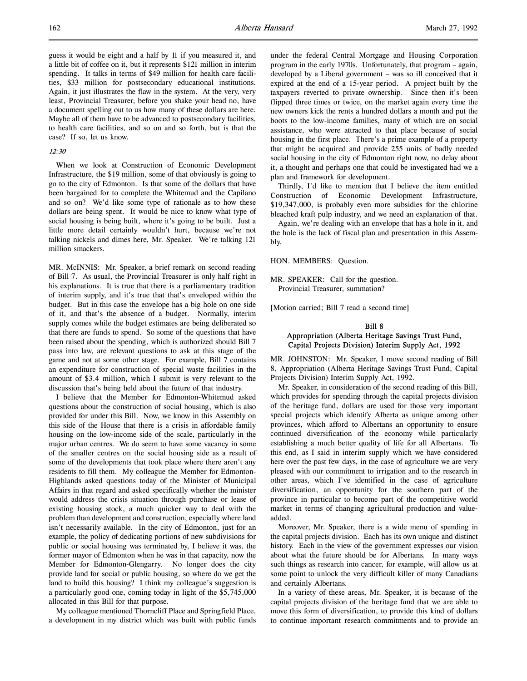guess it would be eight and a half by 11 if you measured it, and a little bit of coffee on it, but it represents \$121 million in interim spending. It talks in terms of \$49 million for health care facilities, \$33 million for postsecondary educational institutions. Again, it just illustrates the flaw in the system. At the very, very least, Provincial Treasurer, before you shake your head no, have a document spelling out to us how many of these dollars are here. Maybe all of them have to be advanced to postsecondary facilities, to health care facilities, and so on and so forth, but is that the case? If so, let us know.

## 12:30

When we look at Construction of Economic Development Infrastructure, the \$19 million, some of that obviously is going to go to the city of Edmonton. Is that some of the dollars that have been bargained for to complete the Whitemud and the Capilano and so on? We'd like some type of rationale as to how these dollars are being spent. It would be nice to know what type of social housing is being built, where it's going to be built. Just a little more detail certainly wouldn't hurt, because we're not talking nickels and dimes here, Mr. Speaker. We're talking 121 million smackers.

MR. McINNIS: Mr. Speaker, a brief remark on second reading of Bill 7. As usual, the Provincial Treasurer is only half right in his explanations. It is true that there is a parliamentary tradition of interim supply, and it's true that that's enveloped within the budget. But in this case the envelope has a big hole on one side of it, and that's the absence of a budget. Normally, interim supply comes while the budget estimates are being deliberated so that there are funds to spend. So some of the questions that have been raised about the spending, which is authorized should Bill 7 pass into law, are relevant questions to ask at this stage of the game and not at some other stage. For example, Bill 7 contains an expenditure for construction of special waste facilities in the amount of \$3.4 million, which I submit is very relevant to the discussion that's being held about the future of that industry.

I believe that the Member for Edmonton-Whitemud asked questions about the construction of social housing, which is also provided for under this Bill. Now, we know in this Assembly on this side of the House that there is a crisis in affordable family housing on the low-income side of the scale, particularly in the major urban centres. We do seem to have some vacancy in some of the smaller centres on the social housing side as a result of some of the developments that took place where there aren't any residents to fill them. My colleague the Member for Edmonton-Highlands asked questions today of the Minister of Municipal Affairs in that regard and asked specifically whether the minister would address the crisis situation through purchase or lease of existing housing stock, a much quicker way to deal with the problem than development and construction, especially where land isn't necessarily available. In the city of Edmonton, just for an example, the policy of dedicating portions of new subdivisions for public or social housing was terminated by, I believe it was, the former mayor of Edmonton when he was in that capacity, now the Member for Edmonton-Glengarry. No longer does the city provide land for social or public housing, so where do we get the land to build this housing? I think my colleague's suggestion is a particularly good one, coming today in light of the \$5,745,000 allocated in this Bill for that purpose.

My colleague mentioned Thorncliff Place and Springfield Place, a development in my district which was built with public funds under the federal Central Mortgage and Housing Corporation program in the early 1970s. Unfortunately, that program – again, developed by a Liberal government – was so ill conceived that it expired at the end of a 15-year period. A project built by the taxpayers reverted to private ownership. Since then it's been flipped three times or twice, on the market again every time the new owners kick the rents a hundred dollars a month and put the boots to the low-income families, many of which are on social assistance, who were attracted to that place because of social housing in the first place. There's a prime example of a property that might be acquired and provide 255 units of badly needed social housing in the city of Edmonton right now, no delay about it, a thought and perhaps one that could be investigated had we a plan and framework for development.

Thirdly, I'd like to mention that I believe the item entitled Construction of Economic Development Infrastructure, \$19,347,000, is probably even more subsidies for the chlorine bleached kraft pulp industry, and we need an explanation of that.

Again, we're dealing with an envelope that has a hole in it, and the hole is the lack of fiscal plan and presentation in this Assembly.

HON. MEMBERS: Question.

MR. SPEAKER: Call for the question. Provincial Treasurer, summation?

[Motion carried; Bill 7 read a second time]

## Bill 8 Appropriation (Alberta Heritage Savings Trust Fund, Capital Projects Division) Interim Supply Act, 1992

MR. JOHNSTON: Mr. Speaker, I move second reading of Bill 8, Appropriation (Alberta Heritage Savings Trust Fund, Capital Projects Division) Interim Supply Act, 1992.

Mr. Speaker, in consideration of the second reading of this Bill, which provides for spending through the capital projects division of the heritage fund, dollars are used for those very important special projects which identify Alberta as unique among other provinces, which afford to Albertans an opportunity to ensure continued diversification of the economy while particularly establishing a much better quality of life for all Albertans. To this end, as I said in interim supply which we have considered here over the past few days, in the case of agriculture we are very pleased with our commitment to irrigation and to the research in other areas, which I've identified in the case of agriculture diversification, an opportunity for the southern part of the province in particular to become part of the competitive world market in terms of changing agricultural production and valueadded.

Moreover, Mr. Speaker, there is a wide menu of spending in the capital projects division. Each has its own unique and distinct history. Each in the view of the government expresses our vision about what the future should be for Albertans. In many ways such things as research into cancer, for example, will allow us at some point to unlock the very difficult killer of many Canadians and certainly Albertans.

In a variety of these areas, Mr. Speaker, it is because of the capital projects division of the heritage fund that we are able to move this form of diversification, to provide this kind of dollars to continue important research commitments and to provide an